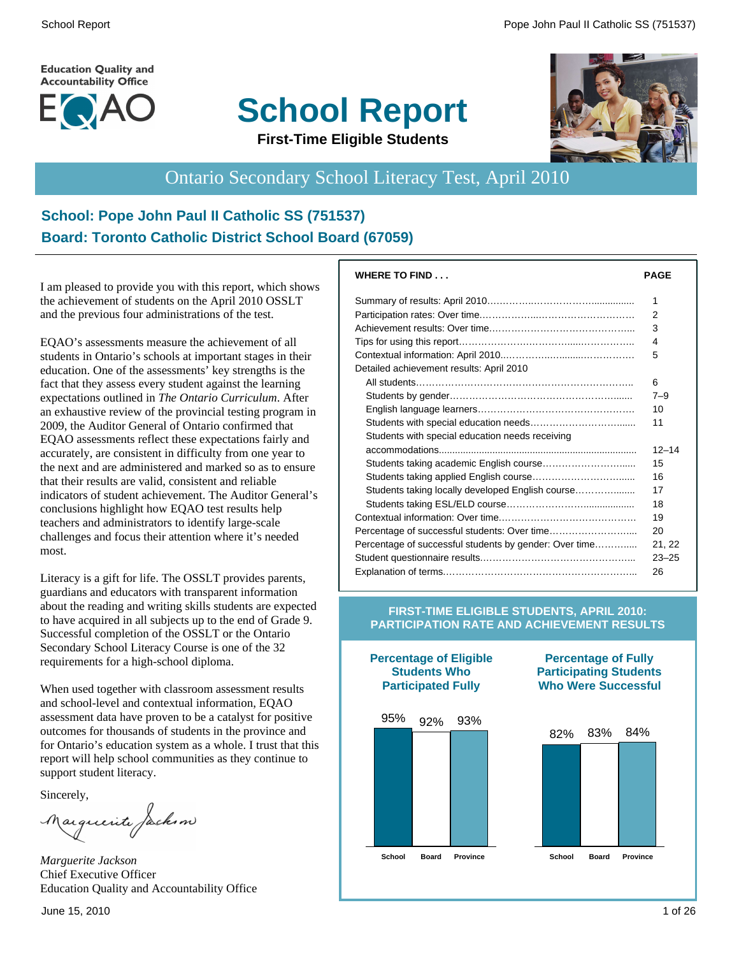**Education Quality and Accountability Office** 



# **School Report**



**First-Time Eligible Students**

# Ontario Secondary School Literacy Test, April 2010

#### **School: Pope John Paul II Catholic SS (751537) Board: Toronto Catholic District School Board (67059)**

I am pleased to provide you with this report, which shows the achievement of students on the April 2010 OSSLT and the previous four administrations of the test.

EQAO's assessments measure the achievement of all students in Ontario's schools at important stages in their education. One of the assessments' key strengths is the fact that they assess every student against the learning expectations outlined in *The Ontario Curriculum*. After an exhaustive review of the provincial testing program in 2009, the Auditor General of Ontario confirmed that EQAO assessments reflect these expectations fairly and accurately, are consistent in difficulty from one year to the next and are administered and marked so as to ensure that their results are valid, consistent and reliable indicators of student achievement. The Auditor General's conclusions highlight how EQAO test results help teachers and administrators to identify large-scale challenges and focus their attention where it's needed most.

Literacy is a gift for life. The OSSLT provides parents, guardians and educators with transparent information about the reading and writing skills students are expected to have acquired in all subjects up to the end of Grade 9. Successful completion of the OSSLT or the Ontario Secondary School Literacy Course is one of the 32 requirements for a high-school diploma.

When used together with classroom assessment results and school-level and contextual information, EQAO assessment data have proven to be a catalyst for positive outcomes for thousands of students in the province and for Ontario's education system as a whole. I trust that this report will help school communities as they continue to support student literacy.

Sincerely,

Marguerite Jackson

*Marguerite Jackson* Chief Executive Officer Education Quality and Accountability Office

| <b>WHERE TO FIND</b>                                   | PAGE      |
|--------------------------------------------------------|-----------|
|                                                        | 1         |
|                                                        | 2         |
|                                                        | 3         |
|                                                        | 4         |
|                                                        | 5         |
| Detailed achievement results: April 2010               |           |
|                                                        | 6         |
|                                                        | $7 - 9$   |
|                                                        | 10        |
|                                                        | 11        |
| Students with special education needs receiving        |           |
|                                                        | $12 - 14$ |
|                                                        | 15        |
|                                                        | 16        |
| Students taking locally developed English course       | 17        |
|                                                        | 18        |
|                                                        | 19        |
|                                                        | 20        |
| Percentage of successful students by gender: Over time | 21, 22    |
|                                                        | $23 - 25$ |
|                                                        | 26        |

#### **FIRST-TIME ELIGIBLE STUDENTS, APRIL 2010: PARTICIPATION RATE AND ACHIEVEMENT RESULTS**

**Participated Fully** 95% 92% 93% **School Board Province School Board Province**

**Percentage of Eligible Students Who**

#### **Percentage of Fully Participating Students Who Were Successful**

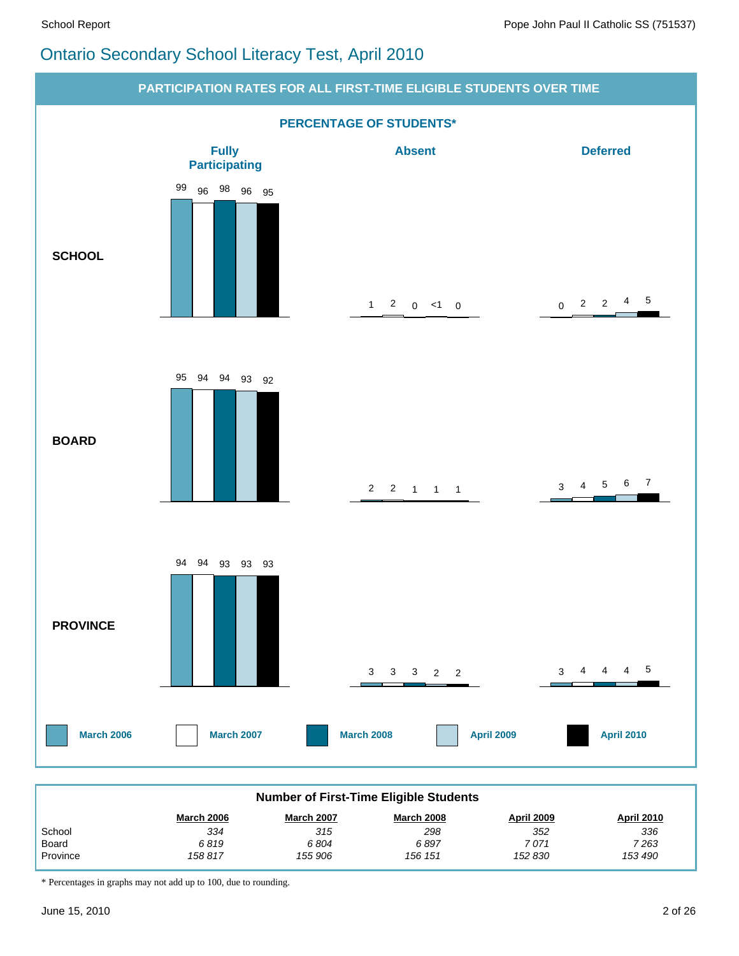# Ontario Secondary School Literacy Test, April 2010



| <b>Number of First-Time Eligible Students</b> |                   |                   |                   |                   |                   |  |  |  |
|-----------------------------------------------|-------------------|-------------------|-------------------|-------------------|-------------------|--|--|--|
|                                               | <b>March 2006</b> | <b>March 2007</b> | <b>March 2008</b> | <b>April 2009</b> | <b>April 2010</b> |  |  |  |
| School                                        | 334               | 315               | 298               | 352               | 336               |  |  |  |
| Board                                         | 6819              | 6804              | 6897              | 7 071             | 7 263             |  |  |  |
| Province                                      | 158 817           | 155 906           | 156 151           | 152 830           | 153 490           |  |  |  |

\* Percentages in graphs may not add up to 100, due to rounding.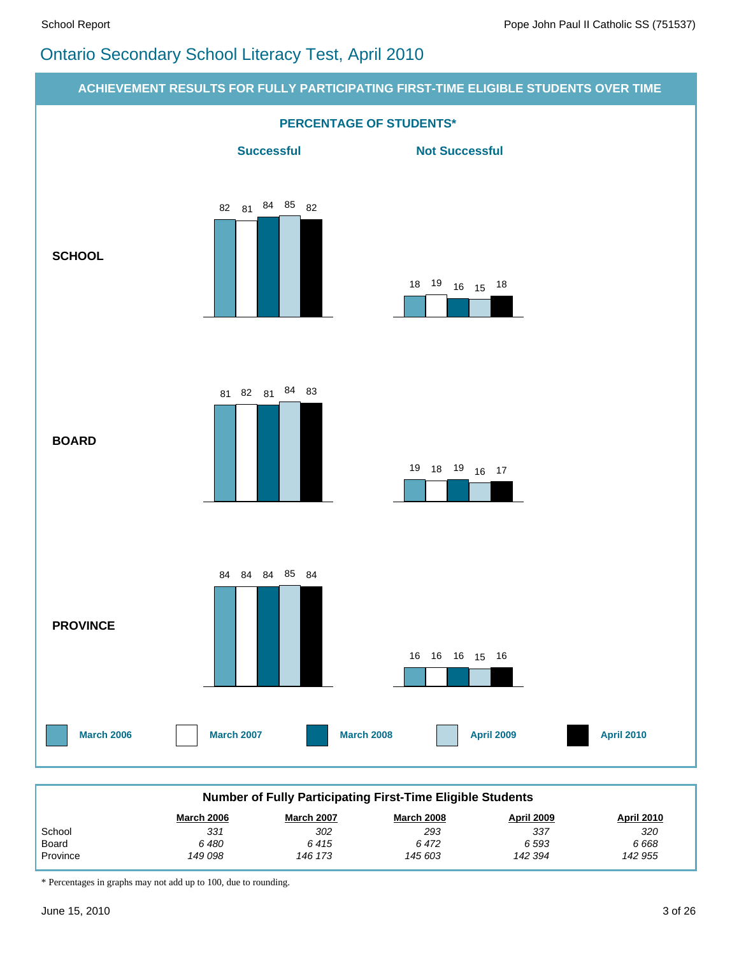# Ontario Secondary School Literacy Test, April 2010



\* Percentages in graphs may not add up to 100, due to rounding.

Province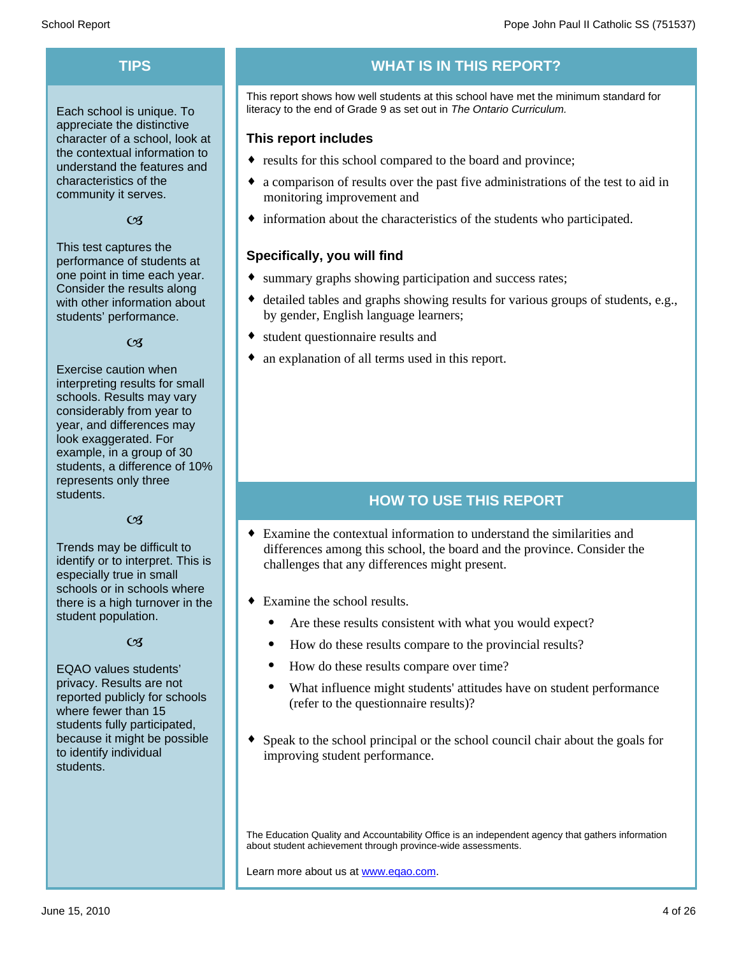Each school is unique. To appreciate the distinctive character of a school, look at the contextual information to understand the features and characteristics of the community it serves.

#### $C<sub>3</sub>$

This test captures the performance of students at one point in time each year. Consider the results along with other information about students' performance.

#### $\alpha$

Exercise caution when interpreting results for small schools. Results may vary considerably from year to year, and differences may look exaggerated. For example, in a group of 30 students, a difference of 10% represents only three students.

#### $C<sub>3</sub>$

Trends may be difficult to identify or to interpret. This is especially true in small schools or in schools where there is a high turnover in the student population.

#### $C<sub>3</sub>$

EQAO values students' privacy. Results are not reported publicly for schools where fewer than 15 students fully participated, because it might be possible to identify individual students.

#### **TIPS WHAT IS IN THIS REPORT?**

This report shows how well students at this school have met the minimum standard for literacy to the end of Grade 9 as set out in *The Ontario Curriculum.*

#### **This report includes**

- results for this school compared to the board and province;
- a comparison of results over the past five administrations of the test to aid in monitoring improvement and
- $\bullet$  information about the characteristics of the students who participated.

#### **Specifically, you will find**

- summary graphs showing participation and success rates;
- $\bullet$  detailed tables and graphs showing results for various groups of students, e.g., by gender, English language learners;
- student questionnaire results and
- an explanation of all terms used in this report.

#### **HOW TO USE THIS REPORT**

- $\bullet$  Examine the contextual information to understand the similarities and differences among this school, the board and the province. Consider the challenges that any differences might present.
- $\bullet$  Examine the school results.
	- Are these results consistent with what you would expect?
	- · How do these results compare to the provincial results?
	- How do these results compare over time?
	- · What influence might students' attitudes have on student performance (refer to the questionnaire results)?
- $\bullet$  Speak to the school principal or the school council chair about the goals for improving student performance.

The Education Quality and Accountability Office is an independent agency that gathers information about student achievement through province-wide assessments.

Learn more about us at www.eqao.com.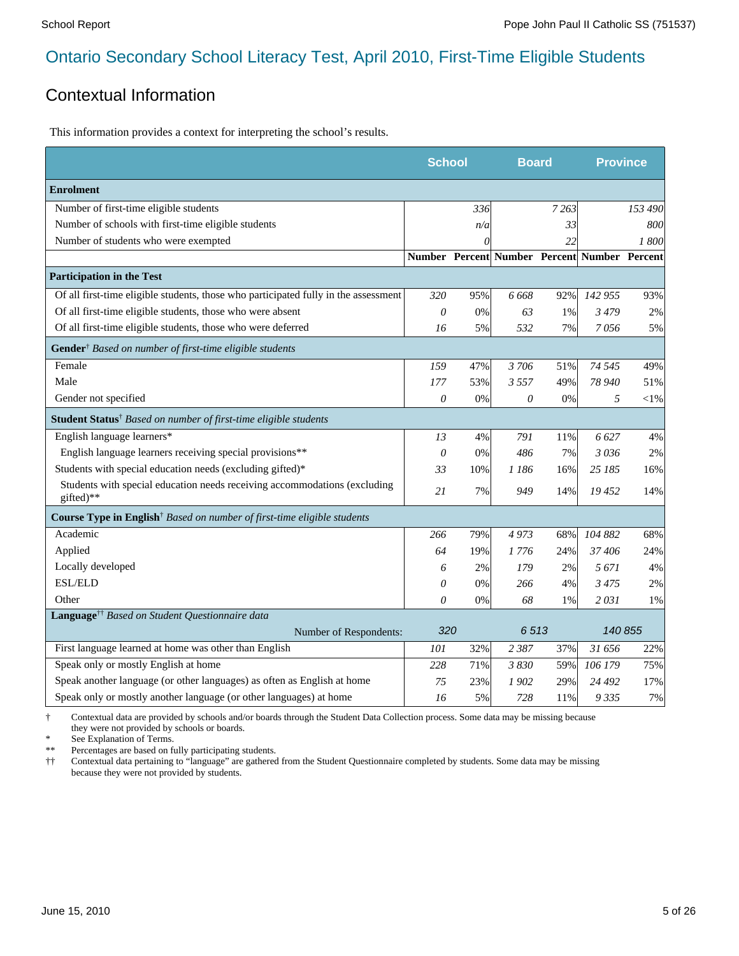#### Contextual Information

This information provides a context for interpreting the school's results.

|                                                                                            | <b>School</b> |     | <b>Board</b>                                 |         | <b>Province</b> |          |
|--------------------------------------------------------------------------------------------|---------------|-----|----------------------------------------------|---------|-----------------|----------|
| <b>Enrolment</b>                                                                           |               |     |                                              |         |                 |          |
| Number of first-time eligible students                                                     |               | 336 |                                              | 7 2 6 3 |                 | 153 490  |
| Number of schools with first-time eligible students                                        |               | n/a |                                              | 33      |                 | 800      |
| Number of students who were exempted                                                       |               | 0   |                                              | 22      |                 | 1800     |
|                                                                                            |               |     | Number Percent Number Percent Number Percent |         |                 |          |
| <b>Participation in the Test</b>                                                           |               |     |                                              |         |                 |          |
| Of all first-time eligible students, those who participated fully in the assessment        | 320           | 95% | 6668                                         | 92%     | 142 955         | 93%      |
| Of all first-time eligible students, those who were absent                                 | $\theta$      | 0%  | 63                                           | 1%      | 3479            | 2%       |
| Of all first-time eligible students, those who were deferred                               | 16            | 5%  | 532                                          | 7%      | 7056            | 5%       |
| Gender <sup>†</sup> Based on number of first-time eligible students                        |               |     |                                              |         |                 |          |
| Female                                                                                     | 159           | 47% | 3706                                         | 51%     | 74 545          | 49%      |
| Male                                                                                       | 177           | 53% | 3557                                         | 49%     | 78 940          | 51%      |
| Gender not specified                                                                       | 0             | 0%  | $\theta$                                     | 0%      | 5               | ${<}1\%$ |
| <b>Student Status</b> <sup>†</sup> Based on number of first-time eligible students         |               |     |                                              |         |                 |          |
| English language learners*                                                                 | 13            | 4%  | 791                                          | 11%     | 6627            | 4%       |
| English language learners receiving special provisions**                                   | $\theta$      | 0%  | 486                                          | 7%      | 3036            | 2%       |
| Students with special education needs (excluding gifted)*                                  | 33            | 10% | 1 186                                        | 16%     | 25 185          | 16%      |
| Students with special education needs receiving accommodations (excluding<br>gifted)**     | 21            | 7%  | 949                                          | 14%     | 19452           | 14%      |
| <b>Course Type in English</b> <sup>†</sup> Based on number of first-time eligible students |               |     |                                              |         |                 |          |
| Academic                                                                                   | 266           | 79% | 4973                                         | 68%     | 104 882         | 68%      |
| Applied                                                                                    | 64            | 19% | 1 776                                        | 24%     | 37406           | 24%      |
| Locally developed                                                                          | 6             | 2%  | 179                                          | 2%      | 5 671           | 4%       |
| <b>ESL/ELD</b>                                                                             | $\theta$      | 0%  | 266                                          | 4%      | 3475            | 2%       |
| Other                                                                                      | 0             | 0%  | 68                                           | 1%      | 2031            | 1%       |
| Language <sup>††</sup> Based on Student Questionnaire data                                 |               |     |                                              |         |                 |          |
| Number of Respondents:                                                                     | 320           |     | 6513                                         |         | 140 855         |          |
| First language learned at home was other than English                                      | 101           | 32% | 2 3 8 7                                      | 37%     | 31 656          | 22%      |
| Speak only or mostly English at home                                                       | 228           | 71% | 3 830                                        | 59%     | 106 179         | 75%      |
| Speak another language (or other languages) as often as English at home                    | 75            | 23% | 1902                                         | 29%     | 24 492          | 17%      |
| Speak only or mostly another language (or other languages) at home                         | 16            | 5%  | 728                                          | 11%     | 9335            | 7%       |

† Contextual data are provided by schools and/or boards through the Student Data Collection process. Some data may be missing because they were not provided by schools or boards.

\* See Explanation of Terms.<br>\*\* Percentages are based on fix

Percentages are based on fully participating students.

†† Contextual data pertaining to "language" are gathered from the Student Questionnaire completed by students. Some data may be missing because they were not provided by students.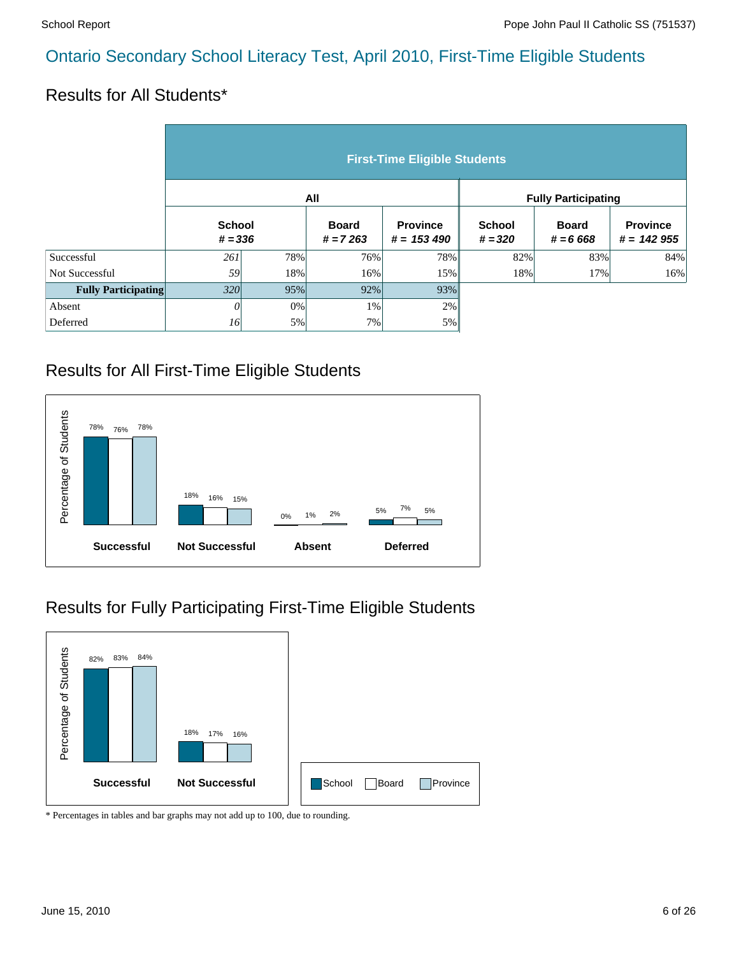#### Results for All Students\*

|                            | <b>First-Time Eligible Students</b> |       |                            |                                  |                            |                            |                                 |  |  |  |
|----------------------------|-------------------------------------|-------|----------------------------|----------------------------------|----------------------------|----------------------------|---------------------------------|--|--|--|
|                            |                                     |       | All                        |                                  | <b>Fully Participating</b> |                            |                                 |  |  |  |
|                            | <b>School</b><br>$# = 336$          |       | <b>Board</b><br>$# = 7263$ | <b>Province</b><br>$# = 153 490$ | <b>School</b><br>$# = 320$ | <b>Board</b><br>$# = 6668$ | <b>Province</b><br>$# = 142955$ |  |  |  |
| Successful                 | 261                                 | 78%   | 76%                        | 78%                              | 82%                        | 83%                        | 84%                             |  |  |  |
| Not Successful             | 59                                  | 18%   | 16%                        | 15%                              | 18%                        | 17%                        | 16%                             |  |  |  |
| <b>Fully Participating</b> | 320                                 | 95%   | 92%                        | 93%                              |                            |                            |                                 |  |  |  |
| Absent                     | 0                                   | $0\%$ | 1%                         | 2%                               |                            |                            |                                 |  |  |  |
| Deferred                   | 16                                  | 5%    | 7%                         | 5%                               |                            |                            |                                 |  |  |  |

#### Results for All First-Time Eligible Students



# Results for Fully Participating First-Time Eligible Students

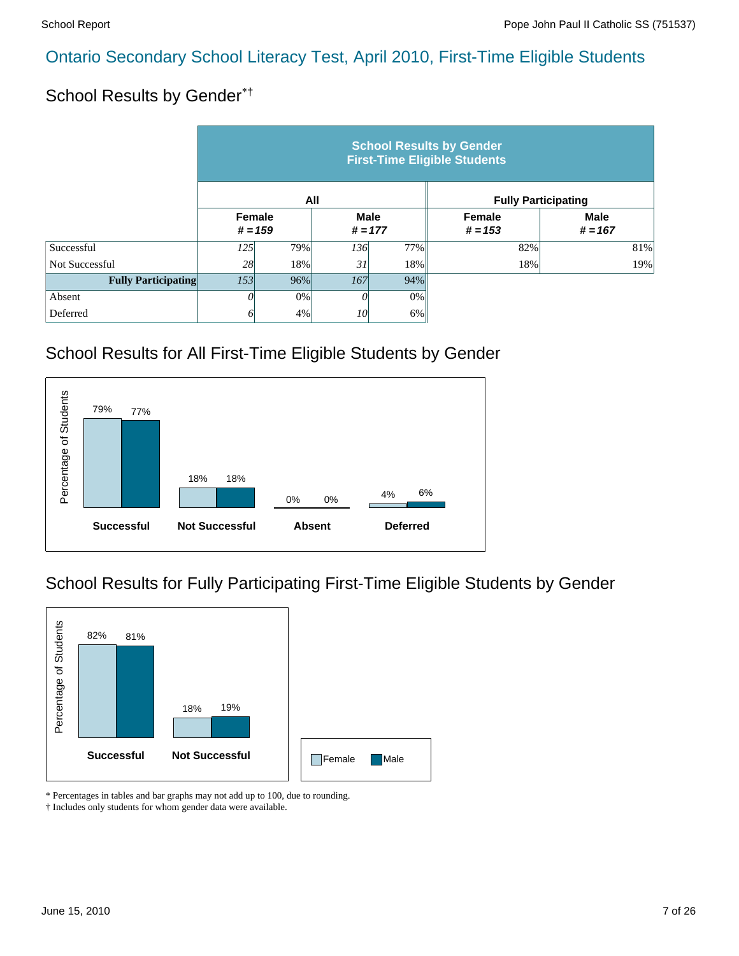#### School Results by Gender\*†

|                            | <b>School Results by Gender</b><br><b>First-Time Eligible Students</b> |           |             |           |           |                            |  |  |  |  |
|----------------------------|------------------------------------------------------------------------|-----------|-------------|-----------|-----------|----------------------------|--|--|--|--|
|                            |                                                                        |           | All         |           |           | <b>Fully Participating</b> |  |  |  |  |
|                            | Female                                                                 |           | <b>Male</b> |           | Female    | <b>Male</b>                |  |  |  |  |
|                            |                                                                        | $# = 159$ |             | $# = 177$ | $# = 153$ | $# = 167$                  |  |  |  |  |
| Successful                 | 125                                                                    | 79%       | 136         | 77%       | 82%       | 81%                        |  |  |  |  |
| Not Successful             | 28                                                                     | 18%       | 31          | 18%       | 18%       | 19%                        |  |  |  |  |
| <b>Fully Participating</b> | 153                                                                    | 96%       | 167         | 94%       |           |                            |  |  |  |  |
| Absent                     | 0                                                                      | 0%        | 0           | $0\%$     |           |                            |  |  |  |  |
| Deferred                   | 0                                                                      | 4%        | 10          | 6%        |           |                            |  |  |  |  |

#### School Results for All First-Time Eligible Students by Gender



#### School Results for Fully Participating First-Time Eligible Students by Gender



\* Percentages in tables and bar graphs may not add up to 100, due to rounding.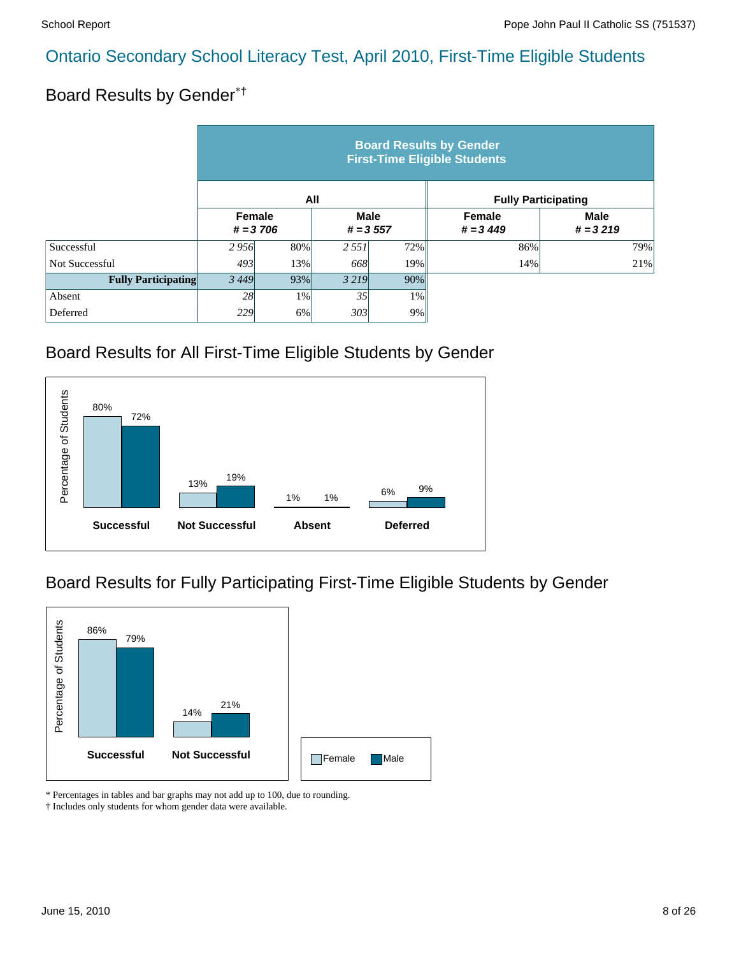# Board Results by Gender\*†

|                            | <b>Board Results by Gender</b><br><b>First-Time Eligible Students</b> |     |                            |       |                            |                           |  |  |  |  |
|----------------------------|-----------------------------------------------------------------------|-----|----------------------------|-------|----------------------------|---------------------------|--|--|--|--|
|                            |                                                                       |     | All                        |       | <b>Fully Participating</b> |                           |  |  |  |  |
|                            | Female<br>$# = 3706$                                                  |     | <b>Male</b><br>$# = 3,557$ |       | Female<br>$# = 3449$       | <b>Male</b><br>$# = 3219$ |  |  |  |  |
| Successful                 | 2956                                                                  | 80% | 2 5 5 1                    | 72%   | 86%                        | 79%                       |  |  |  |  |
| Not Successful             | 493                                                                   | 13% | 668                        | 19%   | 14%                        | 21%                       |  |  |  |  |
| <b>Fully Participating</b> | 3449                                                                  | 93% | 3 2 1 9                    | 90%   |                            |                           |  |  |  |  |
| Absent                     | 28                                                                    | 1%  | 35                         | $1\%$ |                            |                           |  |  |  |  |
| Deferred                   | 229                                                                   | 6%  | 303                        | 9%    |                            |                           |  |  |  |  |

#### Board Results for All First-Time Eligible Students by Gender



# Board Results for Fully Participating First-Time Eligible Students by Gender



\* Percentages in tables and bar graphs may not add up to 100, due to rounding.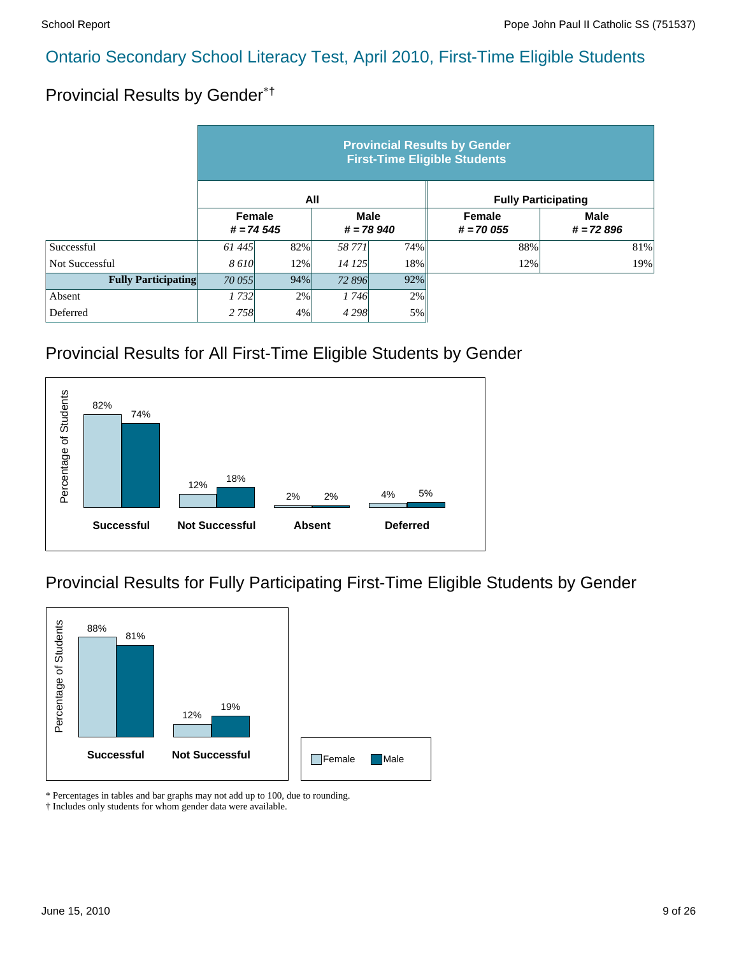# Provincial Results by Gender\*†

|                            | <b>Provincial Results by Gender</b><br><b>First-Time Eligible Students</b> |                                                     |         |     |                              |                            |  |  |  |  |
|----------------------------|----------------------------------------------------------------------------|-----------------------------------------------------|---------|-----|------------------------------|----------------------------|--|--|--|--|
|                            |                                                                            |                                                     | All     |     | <b>Fully Participating</b>   |                            |  |  |  |  |
|                            |                                                                            | Female<br><b>Male</b><br>$# = 74545$<br>$# = 78940$ |         |     | <b>Female</b><br>$# = 70055$ | <b>Male</b><br>$# = 72896$ |  |  |  |  |
| Successful                 | 61445                                                                      | 82%                                                 | 58 771  | 74% | 88%                          | 81%                        |  |  |  |  |
| Not Successful             | 8 6 10                                                                     | 12%                                                 | 14 125  | 18% | 12%                          | 19%                        |  |  |  |  |
| <b>Fully Participating</b> | 70 055                                                                     | 94%                                                 | 72 896  | 92% |                              |                            |  |  |  |  |
| Absent                     | 1732                                                                       | 2%                                                  | 1746    | 2%  |                              |                            |  |  |  |  |
| Deferred                   | 2 7 5 8                                                                    | 4%                                                  | 4 2 9 8 | 5%  |                              |                            |  |  |  |  |

#### Provincial Results for All First-Time Eligible Students by Gender



#### Provincial Results for Fully Participating First-Time Eligible Students by Gender



\* Percentages in tables and bar graphs may not add up to 100, due to rounding.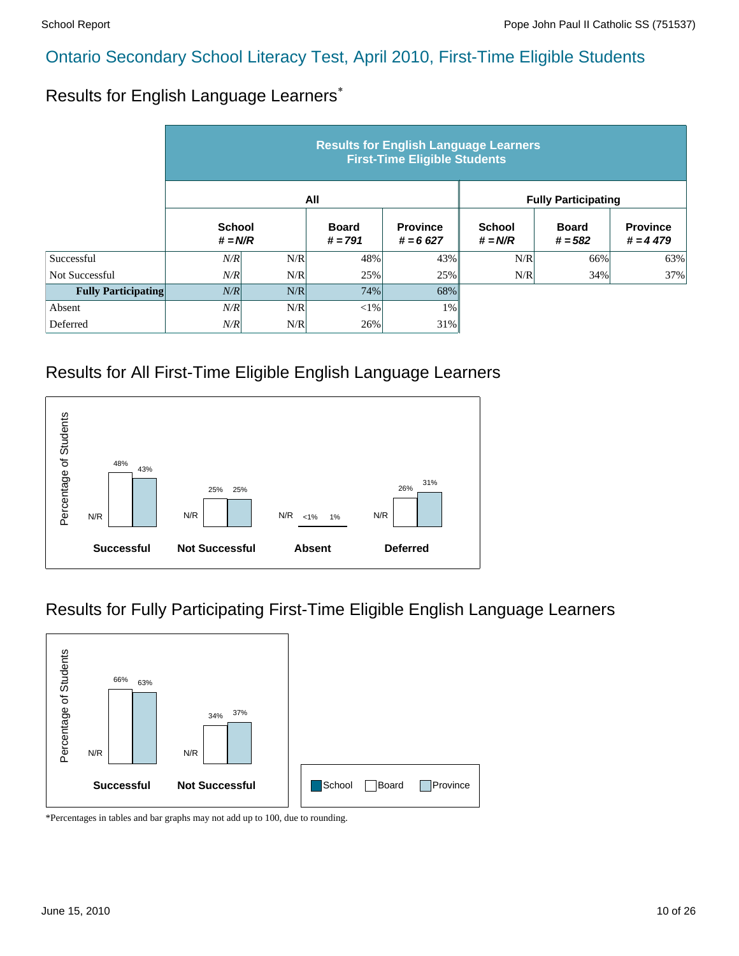#### Results for English Language Learners\*

|                            | <b>Results for English Language Learners</b><br><b>First-Time Eligible Students</b> |     |                           |                               |                            |                           |                               |  |  |
|----------------------------|-------------------------------------------------------------------------------------|-----|---------------------------|-------------------------------|----------------------------|---------------------------|-------------------------------|--|--|
|                            |                                                                                     |     | All                       |                               | <b>Fully Participating</b> |                           |                               |  |  |
|                            | <b>School</b><br>$# = N/R$                                                          |     | <b>Board</b><br>$# = 791$ | <b>Province</b><br>$# = 6627$ | <b>School</b><br>$# = N/R$ | <b>Board</b><br>$# = 582$ | <b>Province</b><br>$# = 4479$ |  |  |
| Successful                 | N/R                                                                                 | N/R | 48%                       | 43%                           | N/R                        | 66%                       | 63%                           |  |  |
| Not Successful             | N/R                                                                                 | N/R | 25%                       | 25%                           | N/R                        | 34%                       | 37%                           |  |  |
| <b>Fully Participating</b> | N/R                                                                                 | N/R | 74%                       | 68%                           |                            |                           |                               |  |  |
| Absent                     | N/R                                                                                 | N/R | ${<}1\%$                  | $1\%$                         |                            |                           |                               |  |  |
| Deferred                   | N/R                                                                                 | N/R | 26%                       | 31%                           |                            |                           |                               |  |  |

#### Results for All First-Time Eligible English Language Learners



#### Results for Fully Participating First-Time Eligible English Language Learners

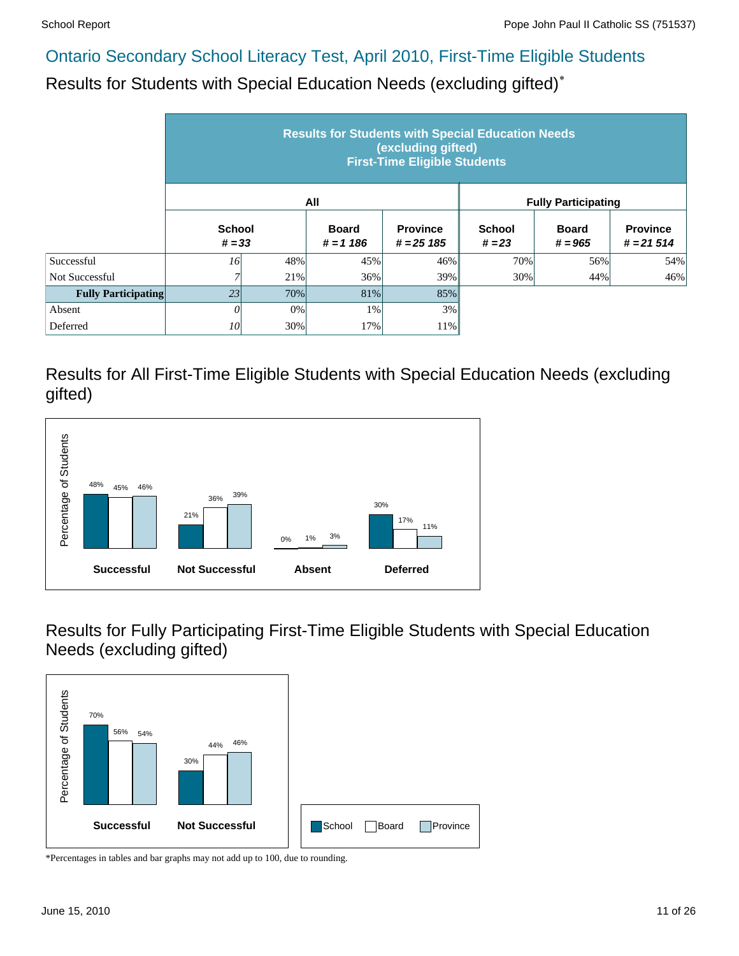Results for Students with Special Education Needs (excluding gifted)\*

|                            | <b>Results for Students with Special Education Needs</b><br>(excluding gifted)<br><b>First-Time Eligible Students</b> |     |                             |                                 |                            |                           |                                |  |  |  |
|----------------------------|-----------------------------------------------------------------------------------------------------------------------|-----|-----------------------------|---------------------------------|----------------------------|---------------------------|--------------------------------|--|--|--|
|                            |                                                                                                                       |     | All                         |                                 | <b>Fully Participating</b> |                           |                                |  |  |  |
|                            | <b>School</b><br>$# = 33$                                                                                             |     | <b>Board</b><br>$# = 1 186$ | <b>Province</b><br>$# = 25 185$ | <b>School</b><br>$# = 23$  | <b>Board</b><br>$# = 965$ | <b>Province</b><br>$# = 21514$ |  |  |  |
| Successful                 | 16                                                                                                                    | 48% | 45%                         | 46%                             | 70%                        | 56%                       | 54%                            |  |  |  |
| Not Successful             | 7                                                                                                                     | 21% | 36%                         | 39%                             | $30\%$                     | 44%                       | 46%                            |  |  |  |
| <b>Fully Participating</b> | 23                                                                                                                    | 70% | 81%                         | 85%                             |                            |                           |                                |  |  |  |
| Absent                     | $\theta$                                                                                                              | 0%  | 1%                          | 3%                              |                            |                           |                                |  |  |  |
| Deferred                   | <i>10</i>                                                                                                             | 30% | 17%                         | 11%                             |                            |                           |                                |  |  |  |

Results for All First-Time Eligible Students with Special Education Needs (excluding gifted)



Results for Fully Participating First-Time Eligible Students with Special Education Needs (excluding gifted)

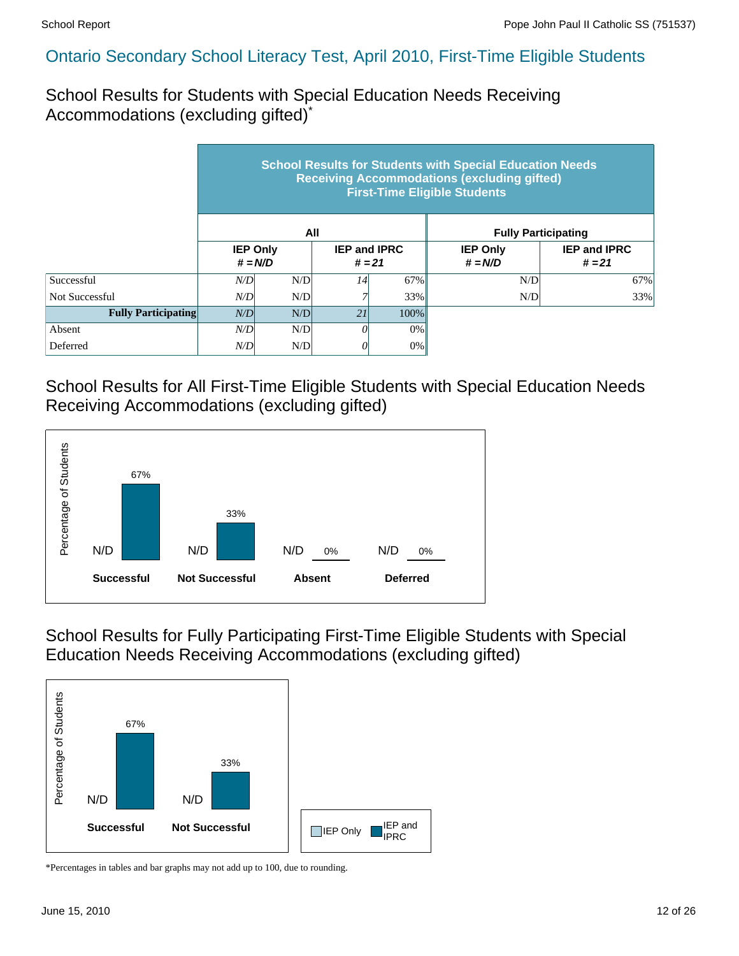School Results for Students with Special Education Needs Receiving Accommodations (excluding gifted)\*

|                            | <b>School Results for Students with Special Education Needs</b><br><b>Receiving Accommodations (excluding gifted)</b><br><b>First-Time Eligible Students</b> |                              |                                 |         |                              |                                 |  |  |  |  |
|----------------------------|--------------------------------------------------------------------------------------------------------------------------------------------------------------|------------------------------|---------------------------------|---------|------------------------------|---------------------------------|--|--|--|--|
|                            |                                                                                                                                                              |                              | All                             |         | <b>Fully Participating</b>   |                                 |  |  |  |  |
|                            |                                                                                                                                                              | <b>IEP Only</b><br>$# = N/D$ | <b>IEP and IPRC</b><br>$# = 21$ |         | <b>IEP Only</b><br>$# = N/D$ | <b>IEP and IPRC</b><br>$# = 21$ |  |  |  |  |
| Successful                 | N/D                                                                                                                                                          | N/D                          | 14                              | 67%     | N/D                          | 67%                             |  |  |  |  |
| Not Successful             | N/D                                                                                                                                                          | N/D                          |                                 | 33%     | N/D                          | 33%                             |  |  |  |  |
| <b>Fully Participating</b> | N/D                                                                                                                                                          | N/D                          | 21                              | $100\%$ |                              |                                 |  |  |  |  |
| Absent                     | N/D                                                                                                                                                          | N/D                          | 0                               | 0%      |                              |                                 |  |  |  |  |
| Deferred                   | N/D                                                                                                                                                          | N/D                          | 0                               | $0\%$   |                              |                                 |  |  |  |  |

School Results for All First-Time Eligible Students with Special Education Needs Receiving Accommodations (excluding gifted)



School Results for Fully Participating First-Time Eligible Students with Special Education Needs Receiving Accommodations (excluding gifted)

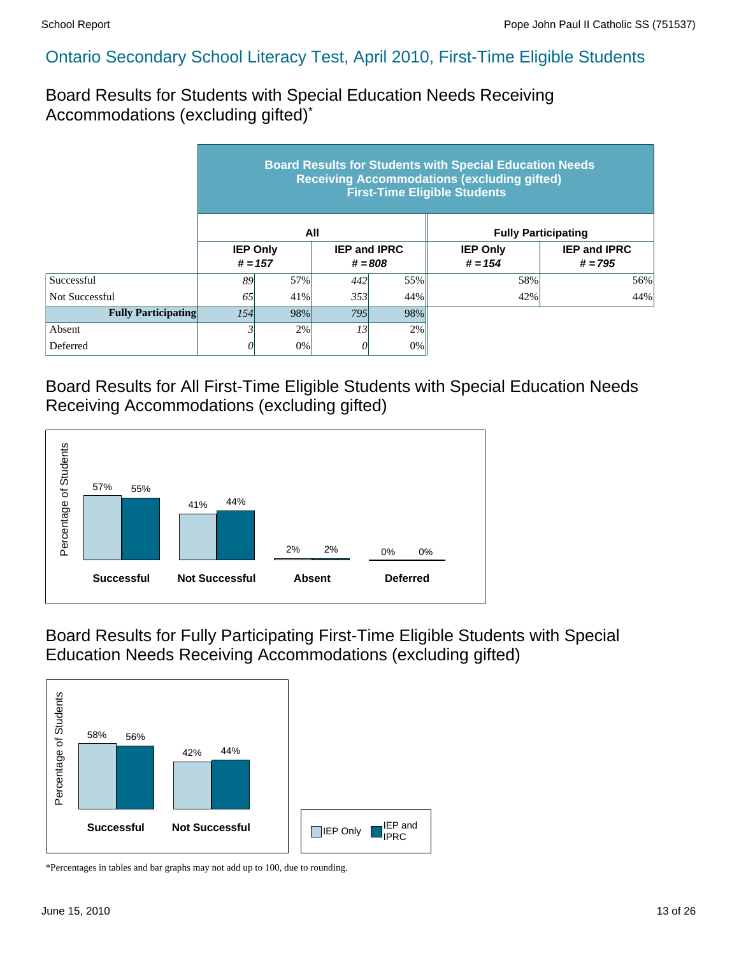Board Results for Students with Special Education Needs Receiving Accommodations (excluding gifted)\*

|                            | <b>Board Results for Students with Special Education Needs</b><br><b>Receiving Accommodations (excluding gifted)</b><br><b>First-Time Eligible Students</b> |     |                                  |     |                              |                                  |  |  |  |  |
|----------------------------|-------------------------------------------------------------------------------------------------------------------------------------------------------------|-----|----------------------------------|-----|------------------------------|----------------------------------|--|--|--|--|
|                            |                                                                                                                                                             |     | All                              |     |                              | <b>Fully Participating</b>       |  |  |  |  |
|                            | <b>IEP Only</b><br>$# = 157$                                                                                                                                |     | <b>IEP and IPRC</b><br>$# = 808$ |     | <b>IEP Only</b><br>$# = 154$ | <b>IEP and IPRC</b><br>$# = 795$ |  |  |  |  |
| Successful                 | 89                                                                                                                                                          | 57% | 442                              | 55% | 58%                          | 56%                              |  |  |  |  |
| Not Successful             | 65                                                                                                                                                          | 41% | 353<br>44%                       |     | 42%                          | 44%                              |  |  |  |  |
| <b>Fully Participating</b> | 154                                                                                                                                                         | 98% | 795                              | 98% |                              |                                  |  |  |  |  |
| Absent                     |                                                                                                                                                             | 2%  | 13                               | 2%  |                              |                                  |  |  |  |  |
| Deferred                   |                                                                                                                                                             | 0%  | 0                                | 0%  |                              |                                  |  |  |  |  |

Board Results for All First-Time Eligible Students with Special Education Needs Receiving Accommodations (excluding gifted)



Board Results for Fully Participating First-Time Eligible Students with Special Education Needs Receiving Accommodations (excluding gifted)

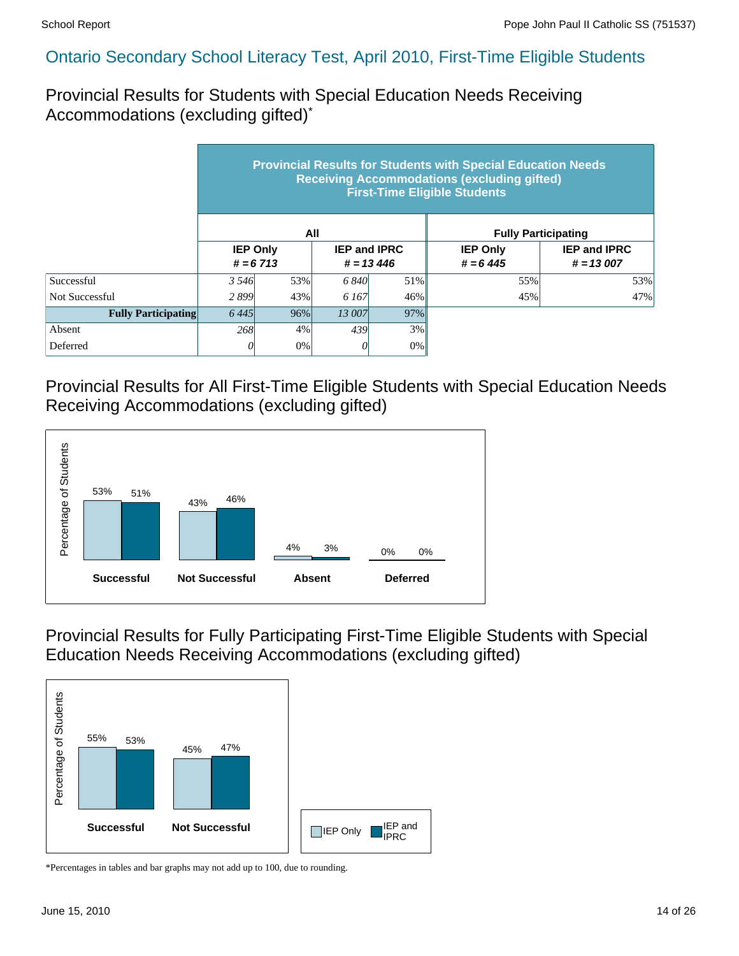Provincial Results for Students with Special Education Needs Receiving Accommodations (excluding gifted)\*

|                            | <b>Provincial Results for Students with Special Education Needs</b><br><b>Receiving Accommodations (excluding gifted)</b><br><b>First-Time Eligible Students</b> |        |              |                                     |                               |                                    |  |  |  |  |
|----------------------------|------------------------------------------------------------------------------------------------------------------------------------------------------------------|--------|--------------|-------------------------------------|-------------------------------|------------------------------------|--|--|--|--|
|                            |                                                                                                                                                                  |        | All          |                                     | <b>Fully Participating</b>    |                                    |  |  |  |  |
|                            | <b>IEP Only</b><br>$# = 6713$                                                                                                                                    |        |              | <b>IEP and IPRC</b><br>$# = 13,446$ | <b>IEP Only</b><br>$# = 6445$ | <b>IEP and IPRC</b><br>$# = 13007$ |  |  |  |  |
| Successful                 | 3 5 4 6                                                                                                                                                          | 53%    | 6 8 4 0      | 51%                                 | 55%                           | 53%                                |  |  |  |  |
| Not Successful             | 2899                                                                                                                                                             | 43%    | 6.167<br>46% |                                     | 45%                           | 47%                                |  |  |  |  |
| <b>Fully Participating</b> | 6445                                                                                                                                                             | $96\%$ | 13 007       | 97%                                 |                               |                                    |  |  |  |  |
| Absent                     | 268                                                                                                                                                              | $4\%$  | 439          | 3%                                  |                               |                                    |  |  |  |  |
| Deferred                   |                                                                                                                                                                  | $0\%$  | U            | $0\%$                               |                               |                                    |  |  |  |  |

Provincial Results for All First-Time Eligible Students with Special Education Needs Receiving Accommodations (excluding gifted)



Provincial Results for Fully Participating First-Time Eligible Students with Special Education Needs Receiving Accommodations (excluding gifted)

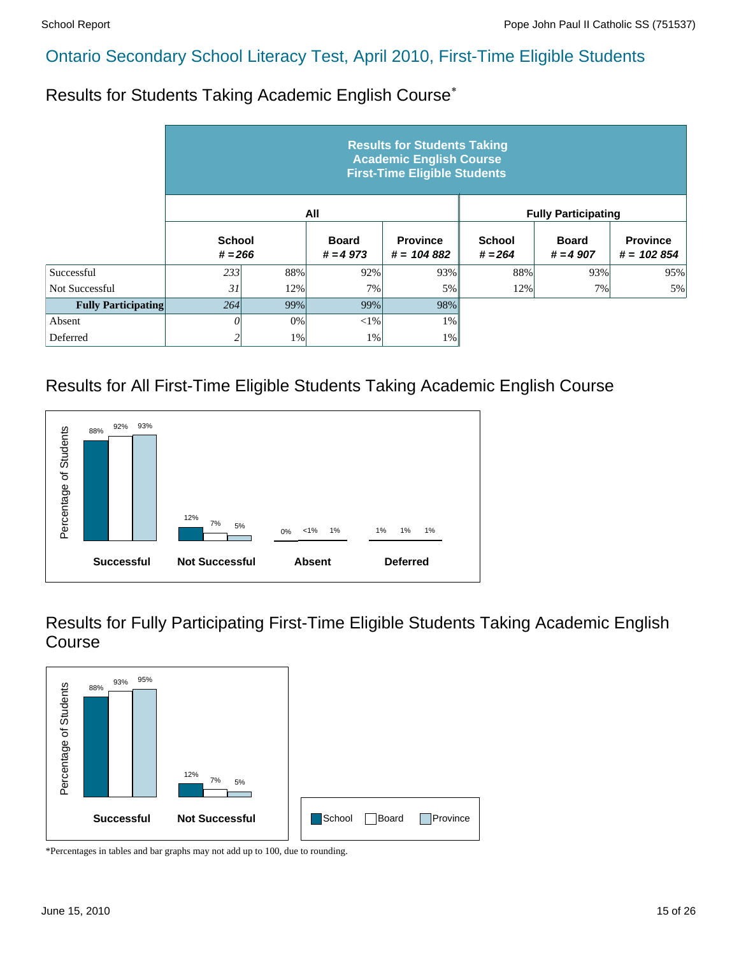Results for Students Taking Academic English Course\*

|                            |                            |     |                            | <b>Results for Students Taking</b><br><b>Academic English Course</b><br><b>First-Time Eligible Students</b> |                            |                            |                                 |
|----------------------------|----------------------------|-----|----------------------------|-------------------------------------------------------------------------------------------------------------|----------------------------|----------------------------|---------------------------------|
|                            |                            |     | All                        |                                                                                                             |                            | <b>Fully Participating</b> |                                 |
|                            | <b>School</b><br>$# = 266$ |     | <b>Board</b><br>$# = 4973$ | <b>Province</b><br>$# = 104882$                                                                             | <b>School</b><br>$# = 264$ | <b>Board</b><br>$# = 4907$ | <b>Province</b><br>$# = 102854$ |
| Successful                 | 233                        | 88% | 92%                        | 93%                                                                                                         | 88%                        | 93%                        | 95%                             |
| <b>Not Successful</b>      | 31                         | 12% | 7%                         | 5%                                                                                                          | 12%                        | 7%                         | 5%                              |
| <b>Fully Participating</b> | 264                        | 99% | 99%                        | 98%                                                                                                         |                            |                            |                                 |
| Absent                     | 0                          | 0%  | $<$ 1%                     | $1\%$                                                                                                       |                            |                            |                                 |
| Deferred                   | 2                          | 1%  | 1%                         | $1\%$                                                                                                       |                            |                            |                                 |

# Results for All First-Time Eligible Students Taking Academic English Course



Results for Fully Participating First-Time Eligible Students Taking Academic English Course

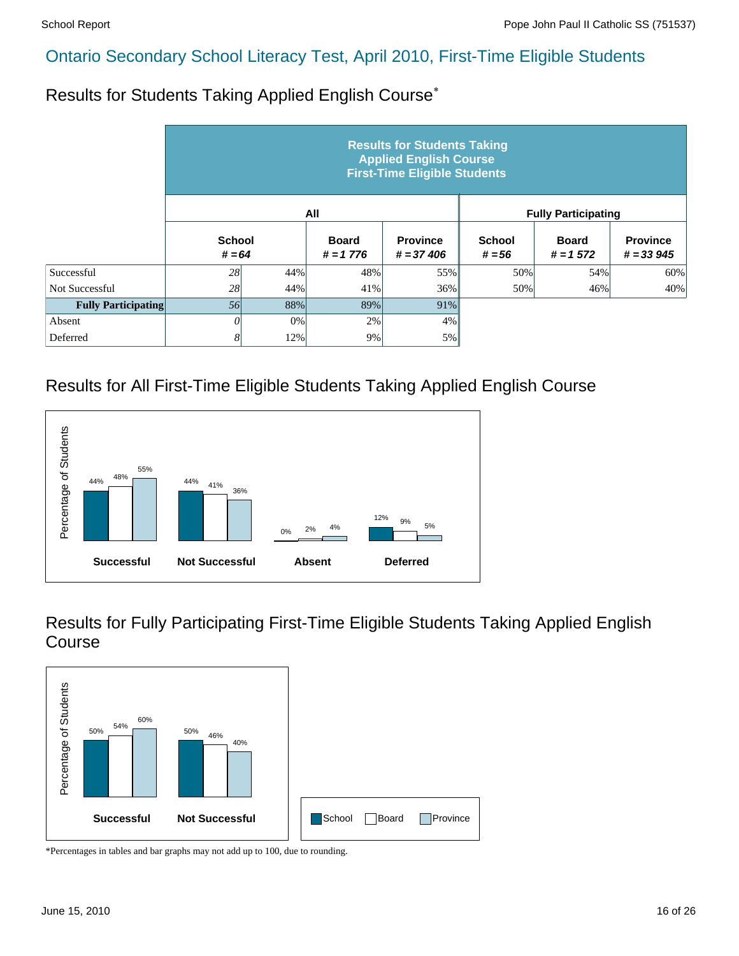Results for Students Taking Applied English Course\*

|                            | <b>Results for Students Taking</b><br><b>Applied English Course</b><br><b>First-Time Eligible Students</b> |     |                             |                                |                           |                            |                                |  |  |  |
|----------------------------|------------------------------------------------------------------------------------------------------------|-----|-----------------------------|--------------------------------|---------------------------|----------------------------|--------------------------------|--|--|--|
|                            |                                                                                                            |     | All                         |                                |                           | <b>Fully Participating</b> |                                |  |  |  |
|                            | <b>School</b><br>$# = 64$                                                                                  |     | <b>Board</b><br>$# = 1 776$ | <b>Province</b><br>$# = 37406$ | <b>School</b><br>$# = 56$ | <b>Board</b><br>$# = 1572$ | <b>Province</b><br>$# = 33945$ |  |  |  |
| Successful                 | 28                                                                                                         | 44% | 48%                         | 55%                            | 50%                       | 54%                        | 60%                            |  |  |  |
| Not Successful             | 28                                                                                                         | 44% | 41%                         | 36%                            | 50%                       | 46%                        | 40%                            |  |  |  |
| <b>Fully Participating</b> | 56                                                                                                         | 88% | 89%                         | 91%                            |                           |                            |                                |  |  |  |
| Absent                     | 0                                                                                                          | 0%  | 2%                          | 4%                             |                           |                            |                                |  |  |  |
| Deferred                   | 8                                                                                                          | 12% | 9%                          | 5%                             |                           |                            |                                |  |  |  |

#### Results for All First-Time Eligible Students Taking Applied English Course



Results for Fully Participating First-Time Eligible Students Taking Applied English Course

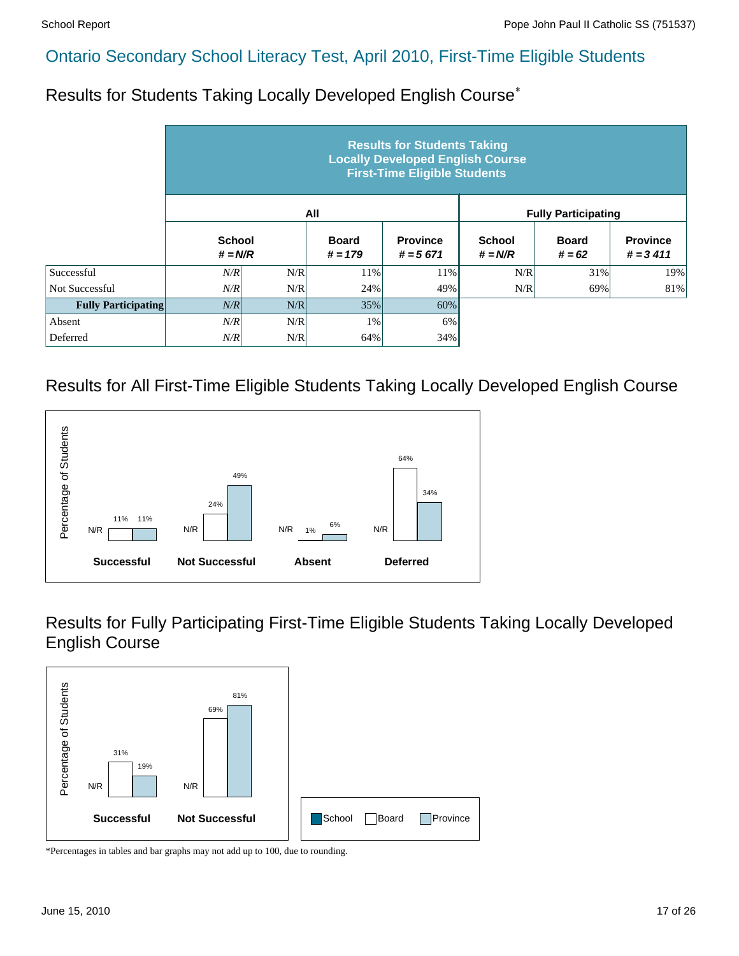Results for Students Taking Locally Developed English Course\*

|                            |                            |     |                           | <b>Results for Students Taking</b><br><b>Locally Developed English Course</b><br><b>First-Time Eligible Students</b> |                            |                            |                               |
|----------------------------|----------------------------|-----|---------------------------|----------------------------------------------------------------------------------------------------------------------|----------------------------|----------------------------|-------------------------------|
|                            |                            |     | All                       |                                                                                                                      |                            | <b>Fully Participating</b> |                               |
|                            | <b>School</b><br>$# = N/R$ |     | <b>Board</b><br>$# = 179$ | <b>Province</b><br>$# = 5671$                                                                                        | <b>School</b><br>$# = N/R$ | <b>Board</b><br>$# = 62$   | <b>Province</b><br>$# = 3411$ |
| Successful                 | N/R                        | N/R | 11%                       | 11%                                                                                                                  | N/R                        | 31%                        | 19%                           |
| Not Successful             | N/R                        | N/R | 24%                       | 49%                                                                                                                  | N/R                        | 69%                        | 81%                           |
| <b>Fully Participating</b> | N/R                        | N/R | 35%                       | 60%                                                                                                                  |                            |                            |                               |
| Absent                     | N/R                        | N/R | 1%                        | 6%                                                                                                                   |                            |                            |                               |
| Deferred                   | N/R                        | N/R | 64%                       | 34%                                                                                                                  |                            |                            |                               |

#### Results for All First-Time Eligible Students Taking Locally Developed English Course



Results for Fully Participating First-Time Eligible Students Taking Locally Developed English Course

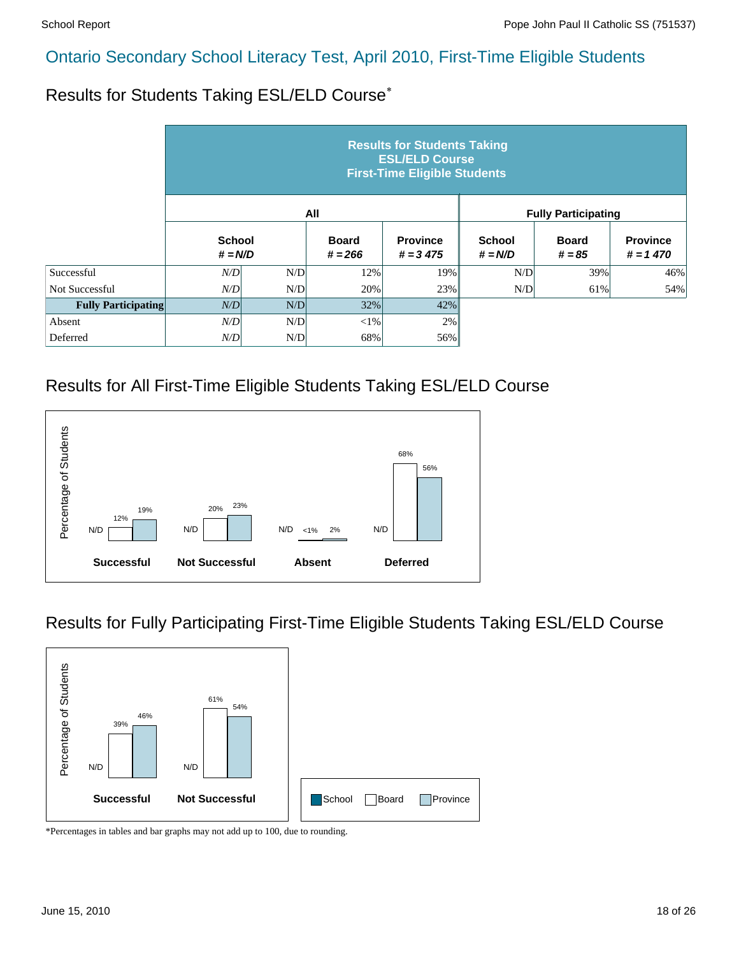Results for Students Taking ESL/ELD Course\*

|                            |                            |     |                           | <b>Results for Students Taking</b><br><b>ESL/ELD Course</b><br><b>First-Time Eligible Students</b> |                            |                            |                               |
|----------------------------|----------------------------|-----|---------------------------|----------------------------------------------------------------------------------------------------|----------------------------|----------------------------|-------------------------------|
|                            |                            |     | All                       |                                                                                                    |                            | <b>Fully Participating</b> |                               |
|                            | <b>School</b><br>$# = N/D$ |     | <b>Board</b><br>$# = 266$ | <b>Province</b><br>$# = 3 475$                                                                     | <b>School</b><br>$# = N/D$ | <b>Board</b><br>$# = 85$   | <b>Province</b><br>$# = 1470$ |
| Successful                 | N/D                        | N/D | 12%                       | 19%                                                                                                | N/D                        | 39%                        | 46%                           |
| Not Successful             | N/D                        | N/D | 20%                       | 23%                                                                                                | N/D                        | 61%                        | 54%                           |
| <b>Fully Participating</b> | N/D                        | N/D | 32%                       | 42%                                                                                                |                            |                            |                               |
| Absent                     | N/D                        | N/D | $<$ 1%                    | 2%                                                                                                 |                            |                            |                               |
| Deferred                   | N/D                        | N/D | 68%                       | 56%                                                                                                |                            |                            |                               |

#### Results for All First-Time Eligible Students Taking ESL/ELD Course



#### Results for Fully Participating First-Time Eligible Students Taking ESL/ELD Course

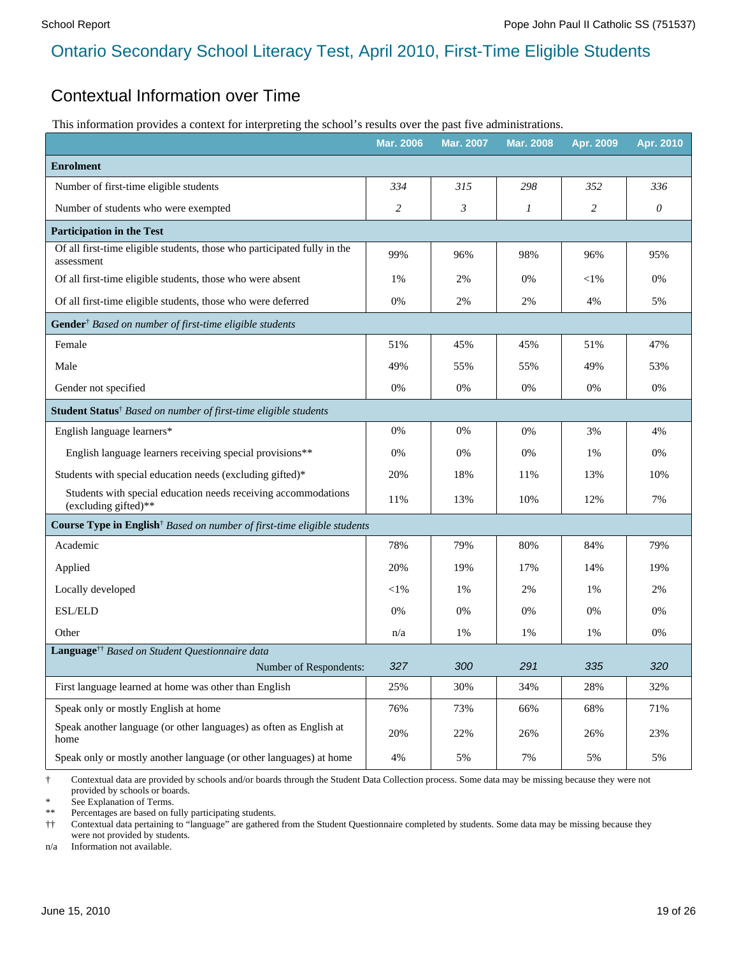#### Contextual Information over Time

This information provides a context for interpreting the school's results over the past five administrations.

|                                                                                                            | <b>Mar. 2006</b> | Mar. 2007 | <b>Mar. 2008</b> | Apr. 2009      | Apr. 2010 |
|------------------------------------------------------------------------------------------------------------|------------------|-----------|------------------|----------------|-----------|
| <b>Enrolment</b>                                                                                           |                  |           |                  |                |           |
| Number of first-time eligible students                                                                     | 334              | 315       | 298              | 352            | 336       |
| Number of students who were exempted                                                                       | 2                | 3         | 1                | $\overline{c}$ | $\theta$  |
| <b>Participation in the Test</b>                                                                           |                  |           |                  |                |           |
| Of all first-time eligible students, those who participated fully in the<br>assessment                     | 99%              | 96%       | 98%              | 96%            | 95%       |
| Of all first-time eligible students, those who were absent                                                 | 1%               | 2%        | 0%               | $<$ l $%$      | $0\%$     |
| Of all first-time eligible students, those who were deferred                                               | 0%               | 2%        | 2%               | 4%             | 5%        |
| Gender <sup>†</sup> Based on number of first-time eligible students                                        |                  |           |                  |                |           |
| Female                                                                                                     | 51%              | 45%       | 45%              | 51%            | 47%       |
| Male                                                                                                       | 49%              | 55%       | 55%              | 49%            | 53%       |
| Gender not specified                                                                                       | 0%               | 0%        | 0%               | 0%             | 0%        |
| Student Status <sup>†</sup> Based on number of first-time eligible students                                |                  |           |                  |                |           |
| English language learners*                                                                                 | 0%               | 0%        | 0%               | 3%             | 4%        |
| English language learners receiving special provisions**                                                   | 0%               | $0\%$     | 0%               | 1%             | 0%        |
| Students with special education needs (excluding gifted)*                                                  | 20%              | 18%       | 11%              | 13%            | 10%       |
| Students with special education needs receiving accommodations<br>(excluding gifted)**                     | 11%              | 13%       | 10%              | 12%            | 7%        |
| Course Type in English <sup>†</sup> Based on number of first-time eligible students                        |                  |           |                  |                |           |
| Academic                                                                                                   | 78%              | 79%       | 80%              | 84%            | 79%       |
| Applied                                                                                                    | 20%              | 19%       | 17%              | 14%            | 19%       |
| Locally developed                                                                                          | $<$ 1%           | 1%        | 2%               | 1%             | 2%        |
| ESL/ELD                                                                                                    | 0%               | 0%        | 0%               | 0%             | 0%        |
| Other                                                                                                      | n/a              | 1%        | 1%               | 1%             | 0%        |
| Language <sup>††</sup> Based on Student Questionnaire data                                                 |                  |           |                  |                |           |
| Number of Respondents:                                                                                     | 327              | 300       | 291              | 335            | 320       |
| First language learned at home was other than English                                                      | 25%              | 30%       | 34%              | 28%            | 32%       |
| Speak only or mostly English at home<br>Speak another language (or other languages) as often as English at | 76%              | 73%       | 66%              | 68%            | 71%       |
| home                                                                                                       | 20%              | 22%       | 26%              | 26%            | 23%       |
| Speak only or mostly another language (or other languages) at home                                         | $4\%$            | 5%        | 7%               | 5%             | 5%        |

† Contextual data are provided by schools and/or boards through the Student Data Collection process. Some data may be missing because they were not provided by schools or boards.

See Explanation of Terms.

\*\* Percentages are based on fully participating students.

†† Contextual data pertaining to "language" are gathered from the Student Questionnaire completed by students. Some data may be missing because they were not provided by students.

n/a Information not available.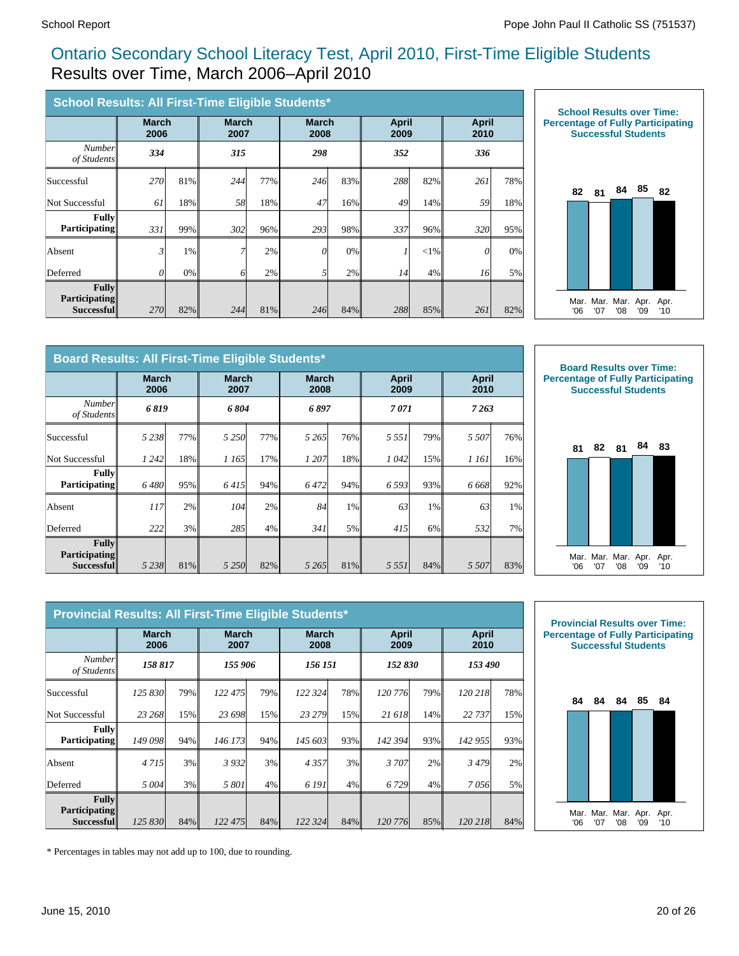#### Ontario Secondary School Literacy Test, April 2010, First-Time Eligible Students Results over Time, March 2006–April 2010

| School Results: All First-Time Eligible Students*  |                      |     |                      |     |                      |     |                      |          |                      |     |
|----------------------------------------------------|----------------------|-----|----------------------|-----|----------------------|-----|----------------------|----------|----------------------|-----|
|                                                    | <b>March</b><br>2006 |     | <b>March</b><br>2007 |     | <b>March</b><br>2008 |     | <b>April</b><br>2009 |          | <b>April</b><br>2010 |     |
| <b>Number</b><br>of Students                       | 334                  |     | 315                  |     | 298                  |     | 352                  |          | 336                  |     |
| Successful                                         | <b>270</b>           | 81% | 244                  | 77% | 246                  | 83% | 288                  | 82%      | 261                  | 78% |
| Not Successful                                     | 61                   | 18% | 58                   | 18% | 47                   | 16% | 49                   | 14%      | 59                   | 18% |
| <b>Fully</b><br><b>Participating</b>               | 331                  | 99% | 302                  | 96% | 293                  | 98% | 337                  | 96%      | 320l                 | 95% |
| Absent                                             | $\mathfrak{z}$       | 1%  |                      | 2%  | $\theta$             | 0%  |                      | ${<}1\%$ | $\theta$             | 0%  |
| Deferred                                           | $\theta$             | 0%  | n                    | 2%  | 5 <sup>1</sup>       | 2%  | 14                   | 4%       | 16                   | 5%  |
| Fullv<br><b>Participating</b><br><b>Successful</b> | 270                  | 82% | 244                  | 81% | 246                  | 84% | 288                  | 85%      | 261                  | 82% |



|                                             | Board Results: All First-Time Eligible Students* |     |           |                      |         |                      |                      |       |                      |     |  |
|---------------------------------------------|--------------------------------------------------|-----|-----------|----------------------|---------|----------------------|----------------------|-------|----------------------|-----|--|
|                                             | <b>March</b><br>2006                             |     |           | <b>March</b><br>2007 |         | <b>March</b><br>2008 | <b>April</b><br>2009 |       | <b>April</b><br>2010 |     |  |
| <b>Number</b><br>of Students                | 6 8 19                                           |     | 6804      |                      | 6 897   |                      | 7 071                |       | 7263                 |     |  |
| Successful                                  | 5 2 3 8 1                                        | 77% | 5 2 5 0 1 | 77%                  | 5 2 6 5 | 76%                  | 5 5 5 1              | 79%   | 5 5 0 7              | 76% |  |
| Not Successful                              | 1 242                                            | 18% | 1 165     | 17%                  | 1 207   | 18%                  | 1042                 | 15%   | 1 161                | 16% |  |
| Fullv<br><b>Participating</b>               | 6480                                             | 95% | 6415      | 94%                  | 6472    | 94%                  | 6 5 9 3              | 93%   | 6 668                | 92% |  |
| Absent                                      | 117 <sup> </sup>                                 | 2%  | 104       | 2%                   | 84      | 1%                   | 63                   | $1\%$ | 63                   | 1%  |  |
| Deferred                                    | 222                                              | 3%  | 285       | 4%                   | 341     | 5%                   | 415                  | $6\%$ | 532                  | 7%  |  |
| Fullv<br><b>Participating</b><br>Successful | 5 2 3 8                                          | 81% | 5 2 5 0 l | 82%                  | 5 2 6 5 | 81%                  | 5 5 5 1              | 84%   | 5 5 0 7              | 83% |  |



Mar. '06 Mar. '07 Mar. '08 Apr. '09 Apr. '10

|                                             | <b>March</b><br>2006 |     | <b>March</b><br>2007 |     | <b>March</b><br>2008 |                    | April<br>2009 |     | April<br>2010 |     |
|---------------------------------------------|----------------------|-----|----------------------|-----|----------------------|--------------------|---------------|-----|---------------|-----|
| <b>Number</b><br>of Students                | 158 817              |     | 155 906              |     |                      | 152 830<br>156 151 |               |     | 153 490       |     |
| Successful                                  | 125 830              | 79% | 122 475              | 79% | 122 324              | <b>78%</b>         | 120 776       | 79% | 120 218       | 78% |
| <b>Not Successful</b>                       | 23 268               | 15% | 23 698               | 15% | 23 279               | 15%                | 21 618        | 14% | 22 737        | 15% |
| <b>Fully</b><br><b>Participating</b>        | 149 098              | 94% | 146 173              | 94% | 145 603              | 93%                | 142 394       | 93% | 142 955       | 93% |
| Absent                                      | 4 7 1 5 1            | 3%  | 3932                 | 3%  | 4357                 | 3%                 | 3 707         | 2%  | 3479          | 2%  |
| Deferred                                    | 5 004                | 3%  | 5801                 | 4%  | 6 191                | 4%                 | 6729          | 4%  | 7056          | 5%  |
| Fullv<br><b>Participating</b><br>Successful | 125 830              | 84% | 122 475              | 84% | 122 324              | $84\%$             | 120 776       | 85% | 120 218       | 84% |



\* Percentages in tables may not add up to 100, due to rounding.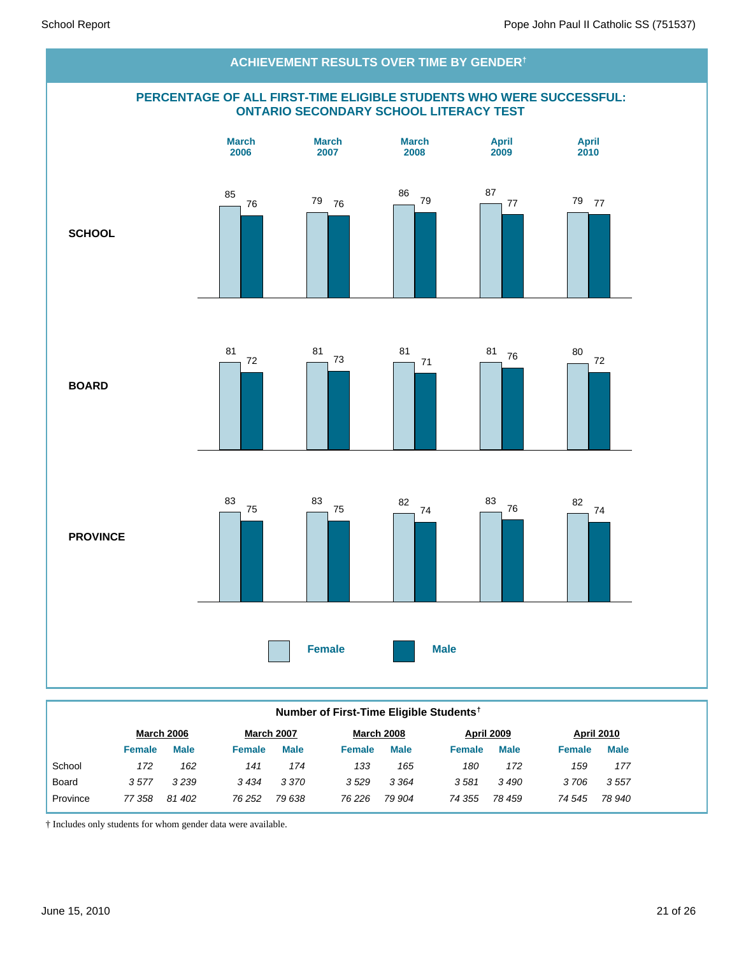

#### **Number of First-Time Eligible Students†**

|          |               | <b>March 2006</b> | <b>March 2007</b> |             |        | <b>March 2008</b> |               | <b>April 2009</b> | <b>April 2010</b> |             |
|----------|---------------|-------------------|-------------------|-------------|--------|-------------------|---------------|-------------------|-------------------|-------------|
|          | <b>Female</b> | <b>Male</b>       | Female            | <b>Male</b> | Female | <b>Male</b>       | <b>Female</b> | <b>Male</b>       | <b>Female</b>     | <b>Male</b> |
| School   | 172           | 162               | 141               | 174         | 133    | 165               | 180           | 172               | 159               | 177         |
| Board    | 3577          | 3239              | 3434              | 3 3 7 0     | 3529   | 3 3 6 4           | 3581          | 3490              | 3706              | 3557        |
| Province | 77 358        | 81 402            | 76 252            | 79 638      | 76 226 | 79 904            | 74 355        | 78 459            | 74 545            | 78 940      |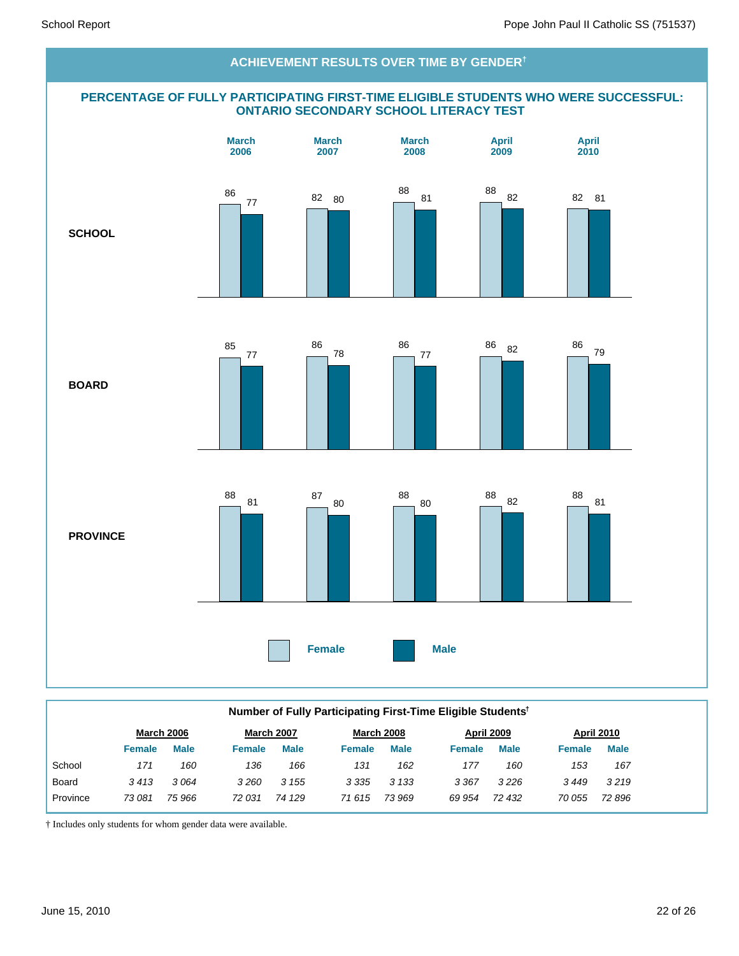#### **PERCENTAGE OF FULLY PARTICIPATING FIRST-TIME ELIGIBLE STUDENTS WHO WERE SUCCESSFUL: ONTARIO SECONDARY SCHOOL LITERACY TEST SCHOOL BOARD PROVINCE Female Male March 2006 March 2007 March 2008 April 2009 April 2010 ACHIEVEMENT RESULTS OVER TIME BY GENDER†** 86 <sup>77</sup> <sup>82</sup> <sup>80</sup> 88 81 88<br>82 82 82 81 85 77 86 78 86 77 86 82 86 79 88 81 87 80 88 80 <sup>88</sup> <sup>82</sup> <sup>88</sup> 81

|          | Number of Fully Participating First-Time Eligible Students <sup>†</sup> |                   |               |                   |               |                   |               |                   |               |                   |  |  |
|----------|-------------------------------------------------------------------------|-------------------|---------------|-------------------|---------------|-------------------|---------------|-------------------|---------------|-------------------|--|--|
|          |                                                                         | <b>March 2006</b> |               | <b>March 2007</b> |               | <b>March 2008</b> |               | <b>April 2009</b> |               | <b>April 2010</b> |  |  |
|          | <b>Female</b>                                                           | <b>Male</b>       | <b>Female</b> | <b>Male</b>       | <b>Female</b> | <b>Male</b>       | <b>Female</b> | <b>Male</b>       | <b>Female</b> | <b>Male</b>       |  |  |
| School   | 171                                                                     | 160               | 136           | 166               | 131           | 162               | 177           | 160               | 153           | 167               |  |  |
| Board    | 3413                                                                    | 3064              | 3260          | 3 1 5 5           | 3 3 3 5       | 3 1 3 3           | 3 3 6 7       | 3226              | 3449          | 3219              |  |  |
| Province | 73 081                                                                  | 75 966            | 72 031        | 74 129            | 71 615        | 73 969            | 69 954        | 72 432            | 70 055        | 72 896            |  |  |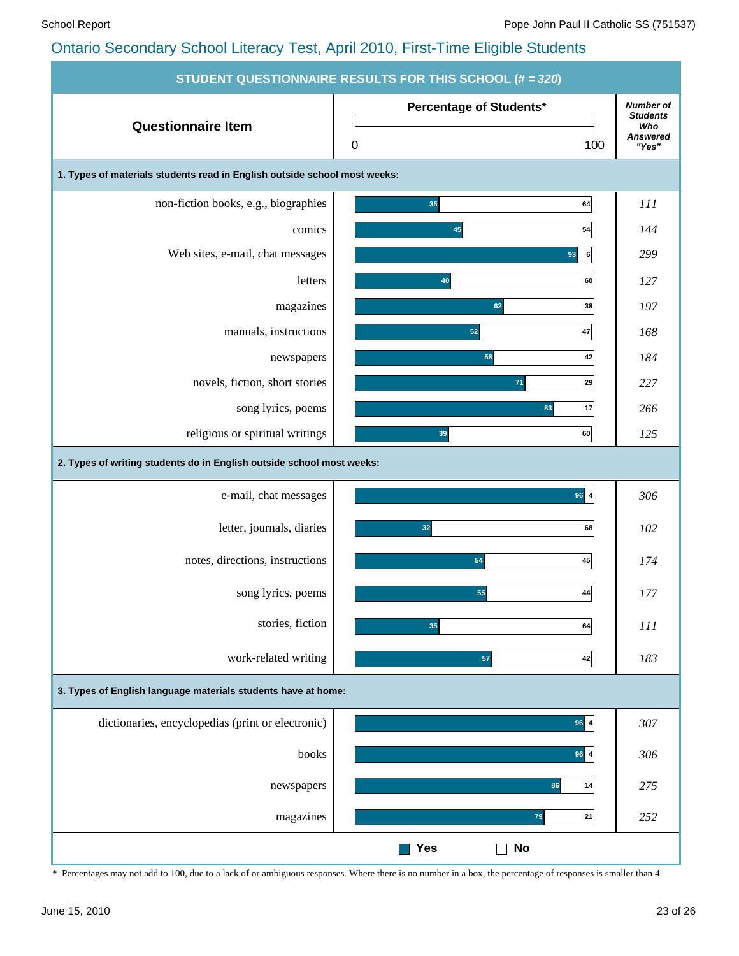|                                                                           | <b>STUDENT QUESTIONNAIRE RESULTS FOR THIS SCHOOL (# = 320)</b> |                                                                        |
|---------------------------------------------------------------------------|----------------------------------------------------------------|------------------------------------------------------------------------|
| <b>Questionnaire Item</b>                                                 | Percentage of Students*<br>$\pmb{0}$<br>100                    | <b>Number of</b><br><b>Students</b><br>Who<br><b>Answered</b><br>"Yes" |
| 1. Types of materials students read in English outside school most weeks: |                                                                |                                                                        |
| non-fiction books, e.g., biographies                                      | 35<br>64                                                       | 111                                                                    |
| comics                                                                    | 45<br>54                                                       | 144                                                                    |
| Web sites, e-mail, chat messages                                          | 93<br>6                                                        | 299                                                                    |
| letters                                                                   | 40<br>60                                                       | 127                                                                    |
| magazines                                                                 | 62<br>38                                                       | 197                                                                    |
| manuals, instructions                                                     | 52<br>47                                                       | 168                                                                    |
| newspapers                                                                | 58<br>42                                                       | 184                                                                    |
| novels, fiction, short stories                                            | 71<br>29                                                       | 227                                                                    |
| song lyrics, poems                                                        | 83<br>17                                                       | 266                                                                    |
| religious or spiritual writings                                           | 39<br>60                                                       | 125                                                                    |
| 2. Types of writing students do in English outside school most weeks:     |                                                                |                                                                        |
| e-mail, chat messages                                                     | $96 \, 4$                                                      | 306                                                                    |
| letter, journals, diaries                                                 | 32<br>68                                                       | 102                                                                    |
| notes, directions, instructions                                           | 54<br>45                                                       | 174                                                                    |
| song lyrics, poems                                                        | 55<br>44                                                       | 177                                                                    |
| stories, fiction                                                          | 35<br>64                                                       | $\cal III$                                                             |
| work-related writing                                                      | 57<br>42                                                       | 183                                                                    |
| 3. Types of English language materials students have at home:             |                                                                |                                                                        |
| dictionaries, encyclopedias (print or electronic)                         | $96 \vert 4$                                                   | 307                                                                    |
| books                                                                     | $96$ 4                                                         | 306                                                                    |
| newspapers                                                                | 86<br>14                                                       | 275                                                                    |
| magazines                                                                 | 79<br>21                                                       | 252                                                                    |
|                                                                           | <b>Yes</b><br>No                                               |                                                                        |

\* Percentages may not add to 100, due to a lack of or ambiguous responses. Where there is no number in a box, the percentage of responses is smaller than 4.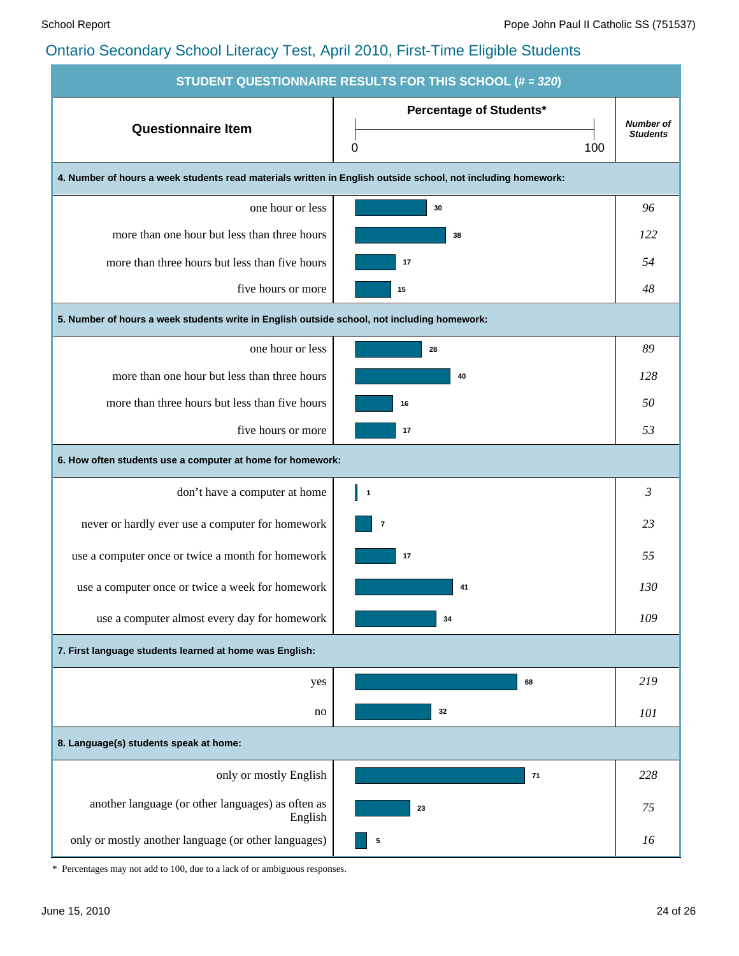|                                                                                                              | STUDENT QUESTIONNAIRE RESULTS FOR THIS SCHOOL (# = 320) |                  |
|--------------------------------------------------------------------------------------------------------------|---------------------------------------------------------|------------------|
| <b>Questionnaire Item</b>                                                                                    | <b>Percentage of Students*</b>                          | <b>Number of</b> |
|                                                                                                              | 100<br>0                                                | <b>Students</b>  |
| 4. Number of hours a week students read materials written in English outside school, not including homework: |                                                         |                  |
| one hour or less                                                                                             | 30                                                      | 96               |
| more than one hour but less than three hours                                                                 | 38                                                      | 122              |
| more than three hours but less than five hours                                                               | 17                                                      | 54               |
| five hours or more                                                                                           | 15                                                      | 48               |
| 5. Number of hours a week students write in English outside school, not including homework:                  |                                                         |                  |
| one hour or less                                                                                             | 28                                                      | 89               |
| more than one hour but less than three hours                                                                 | 40                                                      | 128              |
| more than three hours but less than five hours                                                               | 16                                                      | 50               |
| five hours or more                                                                                           | 17                                                      | 53               |
| 6. How often students use a computer at home for homework:                                                   |                                                         |                  |
| don't have a computer at home                                                                                | $\blacksquare$                                          | 3                |
| never or hardly ever use a computer for homework                                                             | $\overline{\mathbf{7}}$                                 | 23               |
| use a computer once or twice a month for homework                                                            | 17                                                      | 55               |
| use a computer once or twice a week for homework                                                             | 41                                                      | 130              |
| use a computer almost every day for homework                                                                 | 34                                                      | 109              |
| 7. First language students learned at home was English:                                                      |                                                         |                  |
| yes                                                                                                          | 68                                                      | 219              |
| no                                                                                                           | 32                                                      | 101              |
| 8. Language(s) students speak at home:                                                                       |                                                         |                  |
| only or mostly English                                                                                       | 71                                                      | 228              |
| another language (or other languages) as often as<br>English                                                 | 23                                                      | 75               |
| only or mostly another language (or other languages)                                                         | 5                                                       | 16               |

\* Percentages may not add to 100, due to a lack of or ambiguous responses.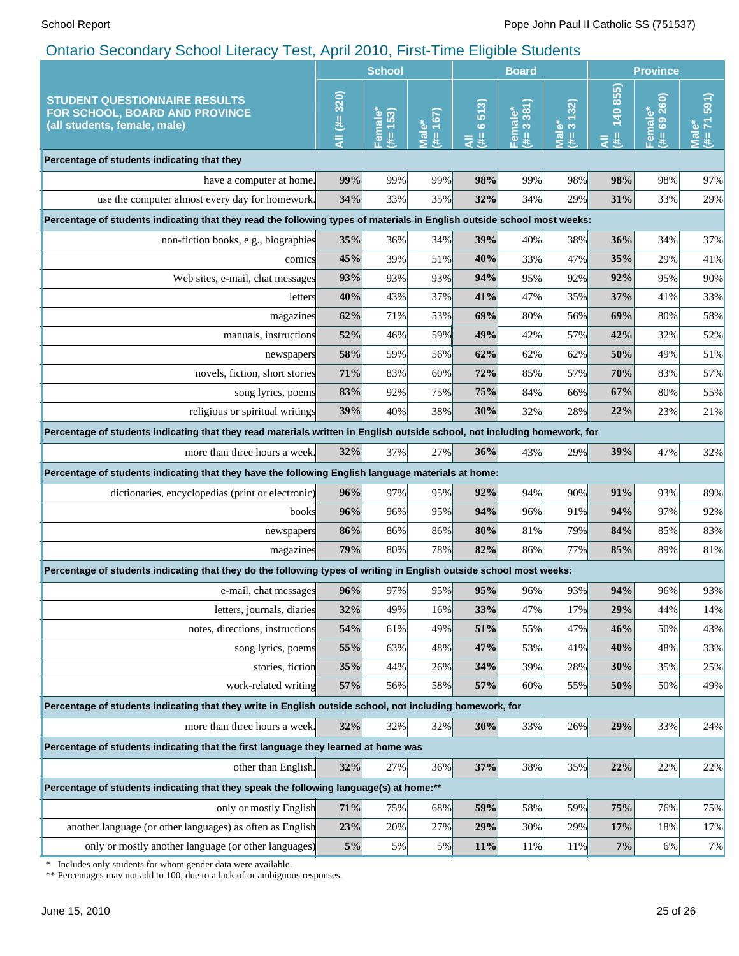|                                                                                                                                                 | <b>School</b> |                                  |                                                    | <b>Board</b>              |                      |                                     | <b>Province</b>  |                                        |                            |
|-------------------------------------------------------------------------------------------------------------------------------------------------|---------------|----------------------------------|----------------------------------------------------|---------------------------|----------------------|-------------------------------------|------------------|----------------------------------------|----------------------------|
| <b>STUDENT QUESTIONNAIRE RESULTS</b><br>FOR SCHOOL, BOARD AND PROVINCE<br>(all students, female, male)                                          | All (#= 320)  | Female <sup>»</sup><br>153)<br>斐 | 167)<br><u>ّه</u><br>$\bar{\bar{\mathbf{z}}}$<br>建 | 513)<br>$\circ$<br>斐<br>₹ | 3381)<br>Female<br>建 | 132)<br>ి లే<br>$\overline{B}$<br># | 140855<br>#<br>₹ | 260)<br>Female*<br>$\overline{6}$<br>₩ | 591)<br>$(1 + 7)$<br>Male* |
| Percentage of students indicating that they                                                                                                     |               |                                  |                                                    |                           |                      |                                     |                  |                                        |                            |
| have a computer at home.                                                                                                                        | 99%           | 99%                              | 99%                                                | 98%                       | 99%                  | 98%                                 | 98%              | 98%                                    | 97%                        |
| use the computer almost every day for homework.                                                                                                 | 34%           | 33%                              | 35%                                                | 32%                       | 34%                  | 29%                                 | 31%              | 33%                                    | 29%                        |
| Percentage of students indicating that they read the following types of materials in English outside school most weeks:                         |               |                                  |                                                    |                           |                      |                                     |                  |                                        |                            |
| non-fiction books, e.g., biographies                                                                                                            | 35%           | 36%                              | 34%                                                | 39%                       | 40%                  | 38%                                 | 36%              | 34%                                    | 37%                        |
| comics                                                                                                                                          | 45%           | 39%                              | 51%                                                | 40%                       | 33%                  | 47%                                 | 35%              | 29%                                    | 41%                        |
| Web sites, e-mail, chat messages                                                                                                                | 93%           | 93%                              | 93%                                                | 94%                       | 95%                  | 92%                                 | 92%              | 95%                                    | 90%                        |
| letters                                                                                                                                         | 40%           | 43%                              | 37%                                                | 41%                       | 47%                  | 35%                                 | 37%              | 41%                                    | 33%                        |
| magazines                                                                                                                                       | 62%           | 71%                              | 53%                                                | 69%                       | 80%                  | 56%                                 | 69%              | 80%                                    | 58%                        |
| manuals, instructions                                                                                                                           | 52%           | 46%                              | 59%                                                | 49%                       | 42%                  | 57%                                 | 42%              | 32%                                    | 52%                        |
| newspapers                                                                                                                                      | 58%           | 59%                              | 56%                                                | 62%                       | 62%                  | 62%                                 | 50%              | 49%                                    | 51%                        |
| novels, fiction, short stories                                                                                                                  | 71%           | 83%                              | 60%                                                | 72%                       | 85%                  | 57%                                 | 70%              | 83%                                    | 57%                        |
| song lyrics, poems                                                                                                                              | 83%           | 92%                              | 75%                                                | 75%                       | 84%                  | 66%                                 | 67%              | 80%                                    | 55%                        |
| religious or spiritual writings                                                                                                                 | 39%           | 40%                              | 38%                                                | 30%                       | 32%                  | 28%                                 | 22%              | 23%                                    | 21%                        |
| Percentage of students indicating that they read materials written in English outside school, not including homework, for                       |               |                                  |                                                    |                           |                      |                                     |                  |                                        |                            |
| more than three hours a week.                                                                                                                   | 32%           | 37%                              | 27%                                                | 36%                       | 43%                  | 29%                                 | 39%              | 47%                                    | 32%                        |
| Percentage of students indicating that they have the following English language materials at home:                                              |               |                                  |                                                    |                           |                      |                                     |                  |                                        |                            |
| dictionaries, encyclopedias (print or electronic)                                                                                               | 96%           | 97%                              | 95%                                                | 92%                       | 94%                  | 90%                                 | 91%              | 93%                                    | 89%                        |
| books                                                                                                                                           | 96%           | 96%                              | 95%                                                | 94%                       | 96%                  | 91%                                 | 94%              | 97%                                    | 92%                        |
| newspapers                                                                                                                                      | 86%           | 86%                              | 86%                                                | 80%                       | 81%                  | 79%                                 | 84%              | 85%                                    | 83%                        |
| magazines                                                                                                                                       | 79%           | 80%                              | 78%                                                | 82%                       | 86%                  | 77%                                 | 85%              | 89%                                    | 81%                        |
| Percentage of students indicating that they do the following types of writing in English outside school most weeks:                             |               |                                  |                                                    |                           |                      |                                     |                  |                                        |                            |
| e-mail, chat messages                                                                                                                           | 96%           | 97%                              | 95%                                                | 95%                       | 96%                  | 93%                                 | 94%              | 96%                                    | 93%                        |
| letters, journals, diaries                                                                                                                      | 32%           | 49%                              | 16%                                                | 33%                       | 47%                  | 17%                                 | 29%              | 44%                                    | 14%                        |
| notes, directions, instructions                                                                                                                 | 54%           | 61%                              | 49%                                                | 51%                       | 55%                  | 47%                                 | 46%              | 50%                                    | 43%                        |
| song lyrics, poems                                                                                                                              | 55%           | 63%                              | 48%                                                | 47%                       | 53%                  | 41%                                 | 40%              | 48%                                    | 33%                        |
| stories, fiction                                                                                                                                | 35%           | 44%                              | 26%                                                | 34%                       | 39%                  | 28%                                 | 30%              | 35%                                    | 25%                        |
| work-related writing                                                                                                                            | 57%           | 56%                              | 58%                                                | 57%                       | 60%                  | 55%                                 | 50%              | 50%                                    | 49%                        |
| Percentage of students indicating that they write in English outside school, not including homework, for                                        |               |                                  |                                                    |                           |                      |                                     |                  |                                        |                            |
| more than three hours a week.                                                                                                                   | 32%           | 32%                              | 32%                                                | 30%                       | 33%                  | 26%                                 | 29%              | 33%                                    | 24%                        |
| Percentage of students indicating that the first language they learned at home was                                                              |               |                                  |                                                    |                           |                      |                                     |                  |                                        |                            |
| other than English.                                                                                                                             | 32%           | 27%                              | $36\%$                                             | 37%                       | 38%                  | 35%                                 | 22%              | 22%                                    | 22%                        |
| Percentage of students indicating that they speak the following language(s) at home:**                                                          |               |                                  |                                                    |                           |                      |                                     |                  |                                        |                            |
| only or mostly English                                                                                                                          | 71%           | 75%                              | 68%                                                | 59%                       | 58%                  | 59%                                 | 75%              | 76%                                    | 75%                        |
| another language (or other languages) as often as English                                                                                       | 23%           | 20%                              | 27%                                                | 29%                       | 30%                  | 29%                                 | 17%              | 18%                                    | 17%                        |
| only or mostly another language (or other languages)                                                                                            | $5\%$         | 5%                               | 5%                                                 | 11%                       | 11%                  | 11%                                 | 7%               | 6%                                     | 7%                         |
| Includes only students for whom gender data were available.<br>∗<br>** Percentages may not add to 100, due to a lack of or ambiguous responses. |               |                                  |                                                    |                           |                      |                                     |                  |                                        |                            |